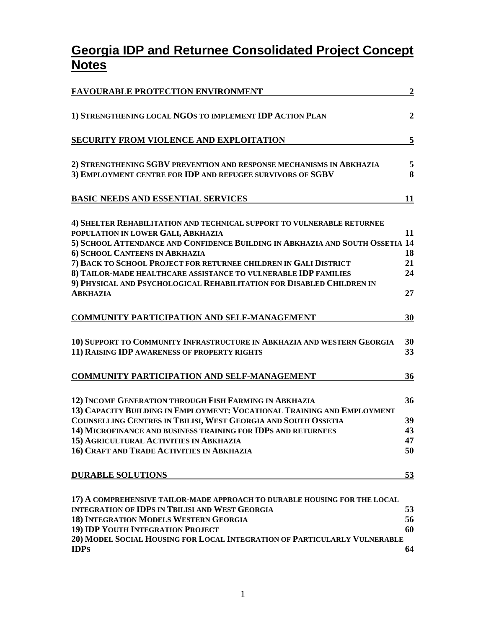# **Georgia IDP and Returnee Consolidated Project Concept Notes**

| <b>FAVOURABLE PROTECTION ENVIRONMENT</b>                                                                                                                                                            | $\boldsymbol{2}$ |
|-----------------------------------------------------------------------------------------------------------------------------------------------------------------------------------------------------|------------------|
| 1) STRENGTHENING LOCAL NGOS TO IMPLEMENT IDP ACTION PLAN                                                                                                                                            | $\overline{2}$   |
| <b>SECURITY FROM VIOLENCE AND EXPLOITATION</b>                                                                                                                                                      | 5                |
| 2) STRENGTHENING SGBV PREVENTION AND RESPONSE MECHANISMS IN ABKHAZIA                                                                                                                                | 5                |
| 3) EMPLOYMENT CENTRE FOR IDP AND REFUGEE SURVIVORS OF SGBV                                                                                                                                          | 8                |
| <b>BASIC NEEDS AND ESSENTIAL SERVICES</b>                                                                                                                                                           | 11               |
| 4) SHELTER REHABILITATION AND TECHNICAL SUPPORT TO VULNERABLE RETURNEE<br>POPULATION IN LOWER GALI, ABKHAZIA<br>5) SCHOOL ATTENDANCE AND CONFIDENCE BUILDING IN ABKHAZIA AND SOUTH OSSETIA 14       | 11               |
| 6) SCHOOL CANTEENS IN ABKHAZIA                                                                                                                                                                      | 18               |
| 7) BACK TO SCHOOL PROJECT FOR RETURNEE CHILDREN IN GALI DISTRICT                                                                                                                                    | 21               |
| 8) TAILOR-MADE HEALTHCARE ASSISTANCE TO VULNERABLE IDP FAMILIES                                                                                                                                     | 24               |
| 9) PHYSICAL AND PSYCHOLOGICAL REHABILITATION FOR DISABLED CHILDREN IN<br><b>ABKHAZIA</b>                                                                                                            | 27               |
| <b>COMMUNITY PARTICIPATION AND SELF-MANAGEMENT</b>                                                                                                                                                  | 30               |
| 10) SUPPORT TO COMMUNITY INFRASTRUCTURE IN ABKHAZIA AND WESTERN GEORGIA<br>11) RAISING IDP AWARENESS OF PROPERTY RIGHTS                                                                             | 30<br>33         |
| <b>COMMUNITY PARTICIPATION AND SELF-MANAGEMENT</b>                                                                                                                                                  | 36               |
| 12) INCOME GENERATION THROUGH FISH FARMING IN ABKHAZIA<br>13) CAPACITY BUILDING IN EMPLOYMENT: VOCATIONAL TRAINING AND EMPLOYMENT<br>COUNSELLING CENTRES IN TBILISI, WEST GEORGIA AND SOUTH OSSETIA | 36<br>39         |
| 14) MICROFINANCE AND BUSINESS TRAINING FOR IDPS AND RETURNEES                                                                                                                                       | 43               |
| 15) AGRICULTURAL ACTIVITIES IN ABKHAZIA                                                                                                                                                             | 47               |
| 16) CRAFT AND TRADE ACTIVITIES IN ABKHAZIA                                                                                                                                                          | 50               |
| <b>DURABLE SOLUTIONS</b>                                                                                                                                                                            | <u>53</u>        |
| 17) A COMPREHENSIVE TAILOR-MADE APPROACH TO DURABLE HOUSING FOR THE LOCAL                                                                                                                           |                  |
| <b>INTEGRATION OF IDPS IN TBILISI AND WEST GEORGIA</b>                                                                                                                                              | 53               |
| 18) INTEGRATION MODELS WESTERN GEORGIA<br>19) IDP YOUTH INTEGRATION PROJECT                                                                                                                         | 56<br>60         |
| 20) MODEL SOCIAL HOUSING FOR LOCAL INTEGRATION OF PARTICULARLY VULNERABLE                                                                                                                           |                  |
| <b>IDPS</b>                                                                                                                                                                                         | 64               |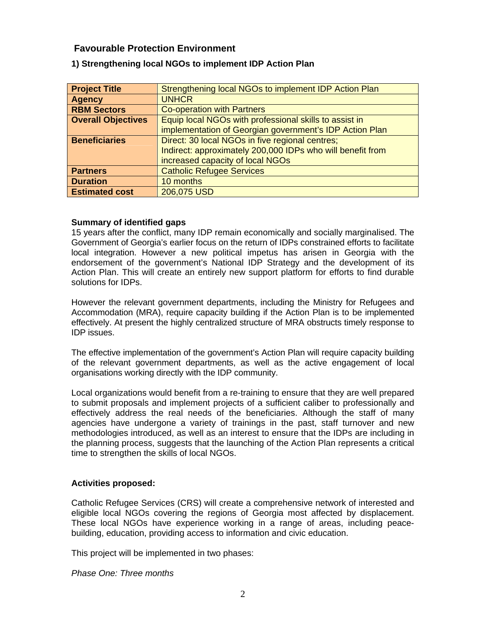# <span id="page-1-0"></span> **Favourable Protection Environment**

| <b>Project Title</b>      | Strengthening local NGOs to implement IDP Action Plan      |
|---------------------------|------------------------------------------------------------|
| <b>Agency</b>             | <b>UNHCR</b>                                               |
| <b>RBM Sectors</b>        | <b>Co-operation with Partners</b>                          |
| <b>Overall Objectives</b> | Equip local NGOs with professional skills to assist in     |
|                           | implementation of Georgian government's IDP Action Plan    |
| <b>Beneficiaries</b>      | Direct: 30 local NGOs in five regional centres;            |
|                           | Indirect: approximately 200,000 IDPs who will benefit from |
|                           | increased capacity of local NGOs                           |
| <b>Partners</b>           | <b>Catholic Refugee Services</b>                           |
| <b>Duration</b>           | 10 months                                                  |
| <b>Estimated cost</b>     | 206,075 USD                                                |

# **1) Strengthening local NGOs to implement IDP Action Plan**

# **Summary of identified gaps**

15 years after the conflict, many IDP remain economically and socially marginalised. The Government of Georgia's earlier focus on the return of IDPs constrained efforts to facilitate local integration. However a new political impetus has arisen in Georgia with the endorsement of the government's National IDP Strategy and the development of its Action Plan. This will create an entirely new support platform for efforts to find durable solutions for IDPs.

However the relevant government departments, including the Ministry for Refugees and Accommodation (MRA), require capacity building if the Action Plan is to be implemented effectively. At present the highly centralized structure of MRA obstructs timely response to IDP issues.

The effective implementation of the government's Action Plan will require capacity building of the relevant government departments, as well as the active engagement of local organisations working directly with the IDP community.

Local organizations would benefit from a re-training to ensure that they are well prepared to submit proposals and implement projects of a sufficient caliber to professionally and effectively address the real needs of the beneficiaries. Although the staff of many agencies have undergone a variety of trainings in the past, staff turnover and new methodologies introduced, as well as an interest to ensure that the IDPs are including in the planning process, suggests that the launching of the Action Plan represents a critical time to strengthen the skills of local NGOs.

# **Activities proposed:**

Catholic Refugee Services (CRS) will create a comprehensive network of interested and eligible local NGOs covering the regions of Georgia most affected by displacement. These local NGOs have experience working in a range of areas, including peacebuilding, education, providing access to information and civic education.

This project will be implemented in two phases:

*Phase One: Three months*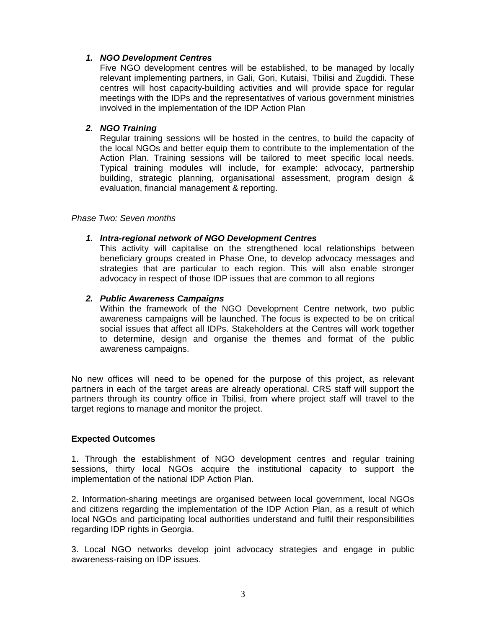# *1. NGO Development Centres*

Five NGO development centres will be established, to be managed by locally relevant implementing partners, in Gali, Gori, Kutaisi, Tbilisi and Zugdidi. These centres will host capacity-building activities and will provide space for regular meetings with the IDPs and the representatives of various government ministries involved in the implementation of the IDP Action Plan

# *2. NGO Training*

Regular training sessions will be hosted in the centres, to build the capacity of the local NGOs and better equip them to contribute to the implementation of the Action Plan. Training sessions will be tailored to meet specific local needs. Typical training modules will include, for example: advocacy, partnership building, strategic planning, organisational assessment, program design & evaluation, financial management & reporting.

#### *Phase Two: Seven months*

# *1. Intra-regional network of NGO Development Centres*

This activity will capitalise on the strengthened local relationships between beneficiary groups created in Phase One, to develop advocacy messages and strategies that are particular to each region. This will also enable stronger advocacy in respect of those IDP issues that are common to all regions

# *2. Public Awareness Campaigns*

Within the framework of the NGO Development Centre network, two public awareness campaigns will be launched. The focus is expected to be on critical social issues that affect all IDPs. Stakeholders at the Centres will work together to determine, design and organise the themes and format of the public awareness campaigns.

No new offices will need to be opened for the purpose of this project, as relevant partners in each of the target areas are already operational. CRS staff will support the partners through its country office in Tbilisi, from where project staff will travel to the target regions to manage and monitor the project.

# **Expected Outcomes**

1. Through the establishment of NGO development centres and regular training sessions, thirty local NGOs acquire the institutional capacity to support the implementation of the national IDP Action Plan.

2. Information-sharing meetings are organised between local government, local NGOs and citizens regarding the implementation of the IDP Action Plan, as a result of which local NGOs and participating local authorities understand and fulfil their responsibilities regarding IDP rights in Georgia.

3. Local NGO networks develop joint advocacy strategies and engage in public awareness-raising on IDP issues.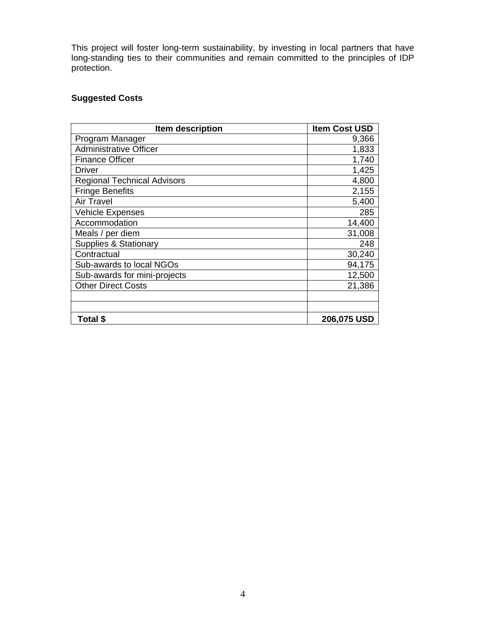This project will foster long-term sustainability, by investing in local partners that have long-standing ties to their communities and remain committed to the principles of IDP protection.

# **Suggested Costs**

| Item description                   | <b>Item Cost USD</b> |
|------------------------------------|----------------------|
| Program Manager                    | 9,366                |
| <b>Administrative Officer</b>      | 1,833                |
| <b>Finance Officer</b>             | 1,740                |
| <b>Driver</b>                      | 1,425                |
| <b>Regional Technical Advisors</b> | 4,800                |
| <b>Fringe Benefits</b>             | 2,155                |
| <b>Air Travel</b>                  | 5,400                |
| <b>Vehicle Expenses</b>            | 285                  |
| Accommodation                      | 14,400               |
| Meals / per diem                   | 31,008               |
| <b>Supplies &amp; Stationary</b>   | 248                  |
| Contractual                        | 30,240               |
| Sub-awards to local NGOs           | 94,175               |
| Sub-awards for mini-projects       | 12,500               |
| <b>Other Direct Costs</b>          | 21,386               |
|                                    |                      |
|                                    |                      |
| Total \$                           | 206,075 USD          |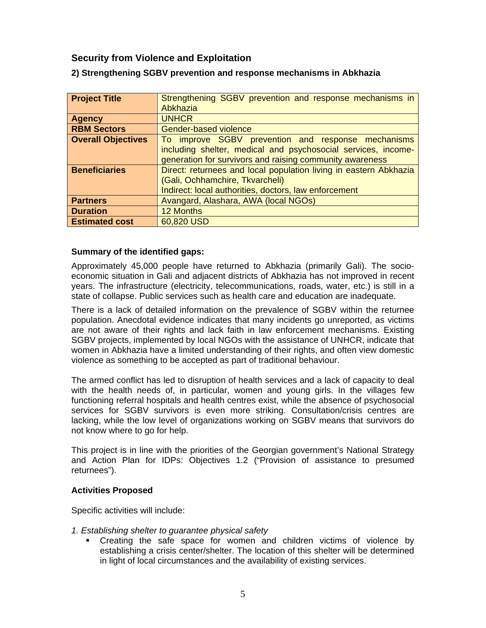# <span id="page-4-0"></span> **Security from Violence and Exploitation**

| <b>Project Title</b>      | Strengthening SGBV prevention and response mechanisms in          |
|---------------------------|-------------------------------------------------------------------|
|                           | Abkhazia                                                          |
| <b>Agency</b>             | <b>UNHCR</b>                                                      |
| <b>RBM Sectors</b>        | <b>Gender-based violence</b>                                      |
| <b>Overall Objectives</b> | To improve SGBV prevention and response mechanisms                |
|                           | including shelter, medical and psychosocial services, income-     |
|                           | generation for survivors and raising community awareness          |
| <b>Beneficiaries</b>      | Direct: returnees and local population living in eastern Abkhazia |
|                           | (Gali, Ochhamchire, Tkvarcheli)                                   |
|                           | Indirect: local authorities, doctors, law enforcement             |
| <b>Partners</b>           | Avangard, Alashara, AWA (local NGOs)                              |
| <b>Duration</b>           | 12 Months                                                         |
| <b>Estimated cost</b>     | 60,820 USD                                                        |

# **2) Strengthening SGBV prevention and response mechanisms in Abkhazia**

# **Summary of the identified gaps:**

Approximately 45,000 people have returned to Abkhazia (primarily Gali). The socioeconomic situation in Gali and adjacent districts of Abkhazia has not improved in recent years. The infrastructure (electricity, telecommunications, roads, water, etc.) is still in a state of collapse. Public services such as health care and education are inadequate.

There is a lack of detailed information on the prevalence of SGBV within the returnee population. Anecdotal evidence indicates that many incidents go unreported, as victims are not aware of their rights and lack faith in law enforcement mechanisms. Existing SGBV projects, implemented by local NGOs with the assistance of UNHCR, indicate that women in Abkhazia have a limited understanding of their rights, and often view domestic violence as something to be accepted as part of traditional behaviour.

The armed conflict has led to disruption of health services and a lack of capacity to deal with the health needs of, in particular, women and young girls. In the villages few functioning referral hospitals and health centres exist, while the absence of psychosocial services for SGBV survivors is even more striking. Consultation/crisis centres are lacking, while the low level of organizations working on SGBV means that survivors do not know where to go for help.

This project is in line with the priorities of the Georgian government's National Strategy and Action Plan for IDPs: Objectives 1.2 ("Provision of assistance to presumed returnees").

#### **Activities Proposed**

Specific activities will include:

- *1. Establishing shelter to guarantee physical safety* 
	- Creating the safe space for women and children victims of violence by establishing a crisis center/shelter. The location of this shelter will be determined in light of local circumstances and the availability of existing services.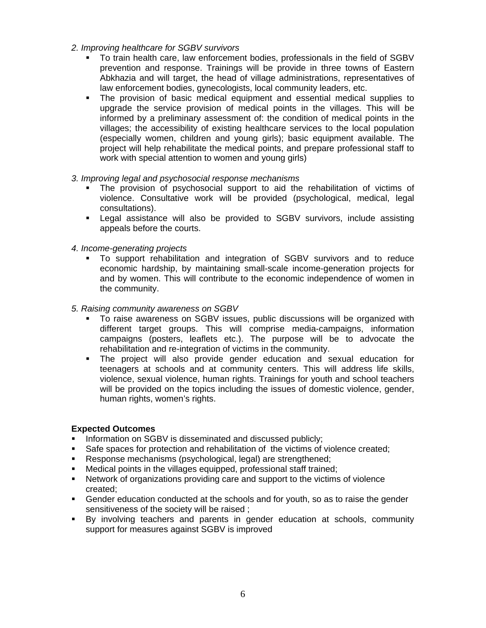- *2. Improving healthcare for SGBV survivors* 
	- To train health care, law enforcement bodies, professionals in the field of SGBV prevention and response. Trainings will be provide in three towns of Eastern Abkhazia and will target, the head of village administrations, representatives of law enforcement bodies, gynecologists, local community leaders, etc.
	- The provision of basic medical equipment and essential medical supplies to upgrade the service provision of medical points in the villages. This will be informed by a preliminary assessment of: the condition of medical points in the villages; the accessibility of existing healthcare services to the local population (especially women, children and young girls); basic equipment available. The project will help rehabilitate the medical points, and prepare professional staff to work with special attention to women and young girls)
- *3. Improving legal and psychosocial response mechanisms* 
	- The provision of psychosocial support to aid the rehabilitation of victims of violence. Consultative work will be provided (psychological, medical, legal consultations).
	- **EXT** Legal assistance will also be provided to SGBV survivors, include assisting appeals before the courts.
- *4. Income-generating projects* 
	- To support rehabilitation and integration of SGBV survivors and to reduce economic hardship, by maintaining small-scale income-generation projects for and by women. This will contribute to the economic independence of women in the community.

#### *5. Raising community awareness on SGBV*

- To raise awareness on SGBV issues, public discussions will be organized with different target groups. This will comprise media-campaigns, information campaigns (posters, leaflets etc.). The purpose will be to advocate the rehabilitation and re-integration of victims in the community.
- The project will also provide gender education and sexual education for teenagers at schools and at community centers. This will address life skills, violence, sexual violence, human rights. Trainings for youth and school teachers will be provided on the topics including the issues of domestic violence, gender, human rights, women's rights.

#### **Expected Outcomes**

- **Information on SGBV is disseminated and discussed publicly;**
- Safe spaces for protection and rehabilitation of the victims of violence created;
- **Response mechanisms (psychological, legal) are strengthened;**
- Medical points in the villages equipped, professional staff trained;
- Network of organizations providing care and support to the victims of violence created;
- Gender education conducted at the schools and for youth, so as to raise the gender sensitiveness of the society will be raised ;
- By involving teachers and parents in gender education at schools, community support for measures against SGBV is improved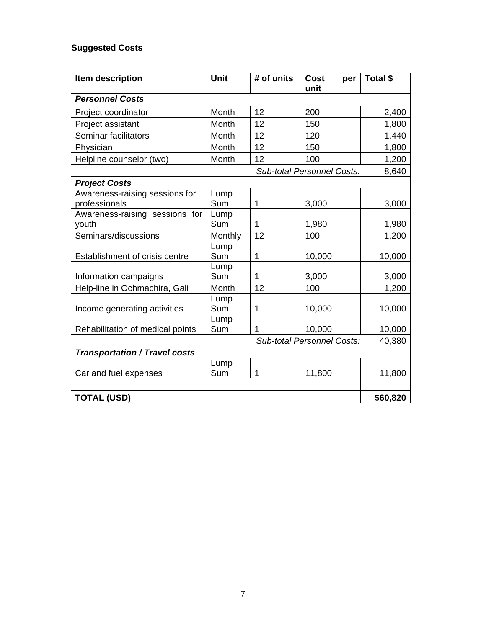# **Suggested Costs**

| Item description                     | <b>Unit</b> | # of units  | <b>Cost</b><br>per<br>unit        | Total \$ |
|--------------------------------------|-------------|-------------|-----------------------------------|----------|
| <b>Personnel Costs</b>               |             |             |                                   |          |
| Project coordinator                  | Month       | 12          | 200                               | 2,400    |
| Project assistant                    | Month       | 12          | 150                               | 1,800    |
| Seminar facilitators                 | Month       | 12          | 120                               | 1,440    |
| Physician                            | Month       | 12          | 150                               | 1,800    |
| Helpline counselor (two)             | Month       | 12          | 100                               | 1,200    |
|                                      |             |             | <b>Sub-total Personnel Costs:</b> | 8,640    |
| <b>Project Costs</b>                 |             |             |                                   |          |
| Awareness-raising sessions for       | Lump        |             |                                   |          |
| professionals                        | Sum         | $\mathbf 1$ | 3,000                             | 3,000    |
| Awareness-raising sessions for       | Lump        |             |                                   |          |
| youth                                | Sum         | 1           | 1,980                             | 1,980    |
| Seminars/discussions                 | Monthly     | 12          | 100                               | 1,200    |
|                                      | Lump        |             |                                   |          |
| Establishment of crisis centre       | Sum         | 1           | 10,000                            | 10,000   |
|                                      | Lump        |             |                                   |          |
| Information campaigns                | Sum         | 1           | 3,000                             | 3,000    |
| Help-line in Ochmachira, Gali        | Month       | 12          | 100                               | 1,200    |
|                                      | Lump        |             |                                   |          |
| Income generating activities         | Sum         | 1           | 10,000                            | 10,000   |
|                                      | Lump        |             |                                   |          |
| Rehabilitation of medical points     | Sum         | 1           | 10,000                            | 10,000   |
|                                      |             |             | <b>Sub-total Personnel Costs:</b> | 40,380   |
| <b>Transportation / Travel costs</b> |             |             |                                   |          |
|                                      | Lump        |             |                                   |          |
| Car and fuel expenses                | Sum         | 1           | 11,800                            | 11,800   |
|                                      |             |             |                                   |          |
| <b>TOTAL (USD)</b>                   |             |             |                                   | \$60,820 |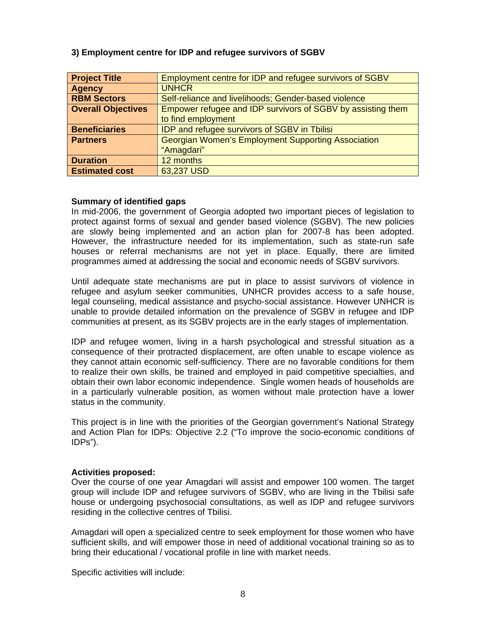| <b>Project Title</b>      | Employment centre for IDP and refugee survivors of SGBV     |
|---------------------------|-------------------------------------------------------------|
| <b>Agency</b>             | <b>UNHCR</b>                                                |
| <b>RBM Sectors</b>        | Self-reliance and livelihoods; Gender-based violence        |
| <b>Overall Objectives</b> | Empower refugee and IDP survivors of SGBV by assisting them |
|                           | to find employment                                          |
| <b>Beneficiaries</b>      | <b>IDP and refugee survivors of SGBV in Tbilisi</b>         |
| <b>Partners</b>           | <b>Georgian Women's Employment Supporting Association</b>   |
|                           | "Amagdari"                                                  |
| <b>Duration</b>           | 12 months                                                   |
| <b>Estimated cost</b>     | 63,237 USD                                                  |

# <span id="page-7-0"></span>**3) Employment centre for IDP and refugee survivors of SGBV**

#### **Summary of identified gaps**

In mid-2006, the government of Georgia adopted two important pieces of legislation to protect against forms of sexual and gender based violence (SGBV). The new policies are slowly being implemented and an action plan for 2007-8 has been adopted. However, the infrastructure needed for its implementation, such as state-run safe houses or referral mechanisms are not yet in place. Equally, there are limited programmes aimed at addressing the social and economic needs of SGBV survivors.

Until adequate state mechanisms are put in place to assist survivors of violence in refugee and asylum seeker communities, UNHCR provides access to a safe house, legal counseling, medical assistance and psycho-social assistance. However UNHCR is unable to provide detailed information on the prevalence of SGBV in refugee and IDP communities at present, as its SGBV projects are in the early stages of implementation.

IDP and refugee women, living in a harsh psychological and stressful situation as a consequence of their protracted displacement, are often unable to escape violence as they cannot attain economic self-sufficiency. There are no favorable conditions for them to realize their own skills, be trained and employed in paid competitive specialties, and obtain their own labor economic independence. Single women heads of households are in a particularly vulnerable position, as women without male protection have a lower status in the community.

This project is in line with the priorities of the Georgian government's National Strategy and Action Plan for IDPs: Objective 2.2 ("To improve the socio-economic conditions of IDPs").

#### **Activities proposed:**

Over the course of one year Amagdari will assist and empower 100 women. The target group will include IDP and refugee survivors of SGBV, who are living in the Tbilisi safe house or undergoing psychosocial consultations, as well as IDP and refugee survivors residing in the collective centres of Tbilisi.

Amagdari will open a specialized centre to seek employment for those women who have sufficient skills, and will empower those in need of additional vocational training so as to bring their educational / vocational profile in line with market needs.

Specific activities will include: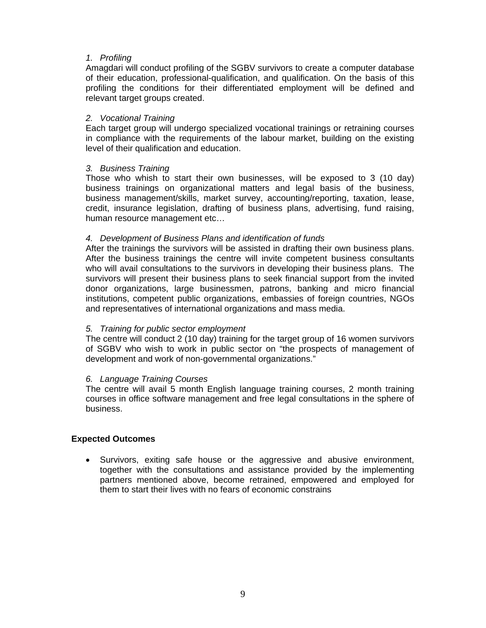# *1. Profiling*

Amagdari will conduct profiling of the SGBV survivors to create a computer database of their education, professional-qualification, and qualification. On the basis of this profiling the conditions for their differentiated employment will be defined and relevant target groups created.

#### *2. Vocational Training*

Each target group will undergo specialized vocational trainings or retraining courses in compliance with the requirements of the labour market, building on the existing level of their qualification and education.

# *3. Business Training*

Those who whish to start their own businesses, will be exposed to 3 (10 day) business trainings on organizational matters and legal basis of the business, business management/skills, market survey, accounting/reporting, taxation, lease, credit, insurance legislation, drafting of business plans, advertising, fund raising, human resource management etc…

# *4. Development of Business Plans and identification of funds*

After the trainings the survivors will be assisted in drafting their own business plans. After the business trainings the centre will invite competent business consultants who will avail consultations to the survivors in developing their business plans. The survivors will present their business plans to seek financial support from the invited donor organizations, large businessmen, patrons, banking and micro financial institutions, competent public organizations, embassies of foreign countries, NGOs and representatives of international organizations and mass media.

#### *5. Training for public sector employment*

The centre will conduct 2 (10 day) training for the target group of 16 women survivors of SGBV who wish to work in public sector on "the prospects of management of development and work of non-governmental organizations."

#### *6. Language Training Courses*

The centre will avail 5 month English language training courses, 2 month training courses in office software management and free legal consultations in the sphere of business.

#### **Expected Outcomes**

• Survivors, exiting safe house or the aggressive and abusive environment, together with the consultations and assistance provided by the implementing partners mentioned above, become retrained, empowered and employed for them to start their lives with no fears of economic constrains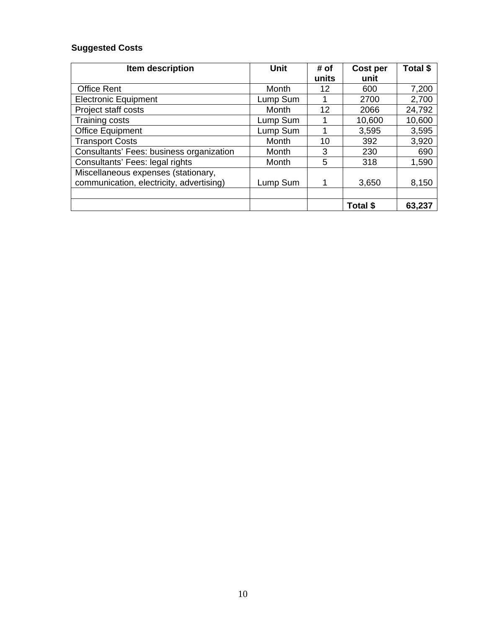# **Suggested Costs**

| Item description                         | Unit     | # of  | Cost per        | Total \$ |
|------------------------------------------|----------|-------|-----------------|----------|
|                                          |          | units | unit            |          |
| <b>Office Rent</b>                       | Month    | 12    | 600             | 7,200    |
| <b>Electronic Equipment</b>              | Lump Sum |       | 2700            | 2,700    |
| Project staff costs                      | Month    | 12    | 2066            | 24,792   |
| <b>Training costs</b>                    | Lump Sum |       | 10,600          | 10,600   |
| <b>Office Equipment</b>                  | Lump Sum |       | 3,595           | 3,595    |
| <b>Transport Costs</b>                   | Month    | 10    | 392             | 3,920    |
| Consultants' Fees: business organization | Month    | 3     | 230             | 690      |
| Consultants' Fees: legal rights          | Month    | 5     | 318             | 1,590    |
| Miscellaneous expenses (stationary,      |          |       |                 |          |
| communication, electricity, advertising) | Lump Sum |       | 3,650           | 8,150    |
|                                          |          |       |                 |          |
|                                          |          |       | <b>Total \$</b> | 63,237   |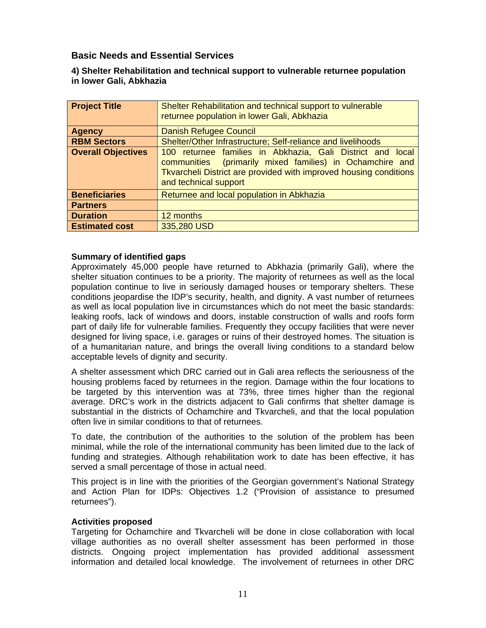# <span id="page-10-0"></span> **Basic Needs and Essential Services**

# **4) Shelter Rehabilitation and technical support to vulnerable returnee population in lower Gali, Abkhazia**

| <b>Project Title</b>      | Shelter Rehabilitation and technical support to vulnerable<br>returnee population in lower Gali, Abkhazia                                                                                                            |
|---------------------------|----------------------------------------------------------------------------------------------------------------------------------------------------------------------------------------------------------------------|
| <b>Agency</b>             | <b>Danish Refugee Council</b>                                                                                                                                                                                        |
| <b>RBM Sectors</b>        | Shelter/Other Infrastructure; Self-reliance and livelihoods                                                                                                                                                          |
| <b>Overall Objectives</b> | 100 returnee families in Abkhazia, Gali District and local<br>communities (primarily mixed families) in Ochamchire and<br>Tkvarcheli District are provided with improved housing conditions<br>and technical support |
| <b>Beneficiaries</b>      | Returnee and local population in Abkhazia                                                                                                                                                                            |
| <b>Partners</b>           |                                                                                                                                                                                                                      |
| <b>Duration</b>           | 12 months                                                                                                                                                                                                            |
| <b>Estimated cost</b>     | 335,280 USD                                                                                                                                                                                                          |

# **Summary of identified gaps**

Approximately 45,000 people have returned to Abkhazia (primarily Gali), where the shelter situation continues to be a priority. The majority of returnees as well as the local population continue to live in seriously damaged houses or temporary shelters. These conditions jeopardise the IDP's security, health, and dignity. A vast number of returnees as well as local population live in circumstances which do not meet the basic standards: leaking roofs, lack of windows and doors, instable construction of walls and roofs form part of daily life for vulnerable families. Frequently they occupy facilities that were never designed for living space, i.e. garages or ruins of their destroyed homes. The situation is of a humanitarian nature, and brings the overall living conditions to a standard below acceptable levels of dignity and security.

A shelter assessment which DRC carried out in Gali area reflects the seriousness of the housing problems faced by returnees in the region. Damage within the four locations to be targeted by this intervention was at 73%, three times higher than the regional average. DRC's work in the districts adjacent to Gali confirms that shelter damage is substantial in the districts of Ochamchire and Tkvarcheli, and that the local population often live in similar conditions to that of returnees.

To date, the contribution of the authorities to the solution of the problem has been minimal, while the role of the international community has been limited due to the lack of funding and strategies. Although rehabilitation work to date has been effective, it has served a small percentage of those in actual need.

This project is in line with the priorities of the Georgian government's National Strategy and Action Plan for IDPs: Objectives 1.2 ("Provision of assistance to presumed returnees").

#### **Activities proposed**

Targeting for Ochamchire and Tkvarcheli will be done in close collaboration with local village authorities as no overall shelter assessment has been performed in those districts. Ongoing project implementation has provided additional assessment information and detailed local knowledge. The involvement of returnees in other DRC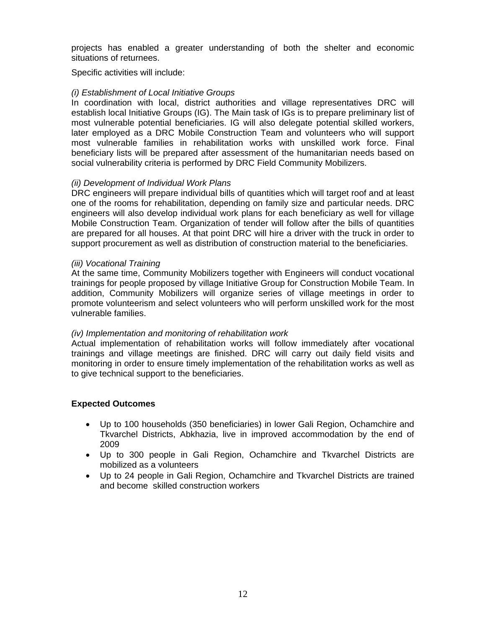projects has enabled a greater understanding of both the shelter and economic situations of returnees.

Specific activities will include:

# *(i) Establishment of Local Initiative Groups*

In coordination with local, district authorities and village representatives DRC will establish local Initiative Groups (IG). The Main task of IGs is to prepare preliminary list of most vulnerable potential beneficiaries. IG will also delegate potential skilled workers, later employed as a DRC Mobile Construction Team and volunteers who will support most vulnerable families in rehabilitation works with unskilled work force. Final beneficiary lists will be prepared after assessment of the humanitarian needs based on social vulnerability criteria is performed by DRC Field Community Mobilizers.

# *(ii) Development of Individual Work Plans*

DRC engineers will prepare individual bills of quantities which will target roof and at least one of the rooms for rehabilitation, depending on family size and particular needs. DRC engineers will also develop individual work plans for each beneficiary as well for village Mobile Construction Team. Organization of tender will follow after the bills of quantities are prepared for all houses. At that point DRC will hire a driver with the truck in order to support procurement as well as distribution of construction material to the beneficiaries.

# *(iii) Vocational Training*

At the same time, Community Mobilizers together with Engineers will conduct vocational trainings for people proposed by village Initiative Group for Construction Mobile Team. In addition, Community Mobilizers will organize series of village meetings in order to promote volunteerism and select volunteers who will perform unskilled work for the most vulnerable families.

# *(iv) Implementation and monitoring of rehabilitation work*

Actual implementation of rehabilitation works will follow immediately after vocational trainings and village meetings are finished. DRC will carry out daily field visits and monitoring in order to ensure timely implementation of the rehabilitation works as well as to give technical support to the beneficiaries.

# **Expected Outcomes**

- Up to 100 households (350 beneficiaries) in lower Gali Region, Ochamchire and Tkvarchel Districts, Abkhazia, live in improved accommodation by the end of 2009
- Up to 300 people in Gali Region, Ochamchire and Tkvarchel Districts are mobilized as a volunteers
- Up to 24 people in Gali Region, Ochamchire and Tkvarchel Districts are trained and become skilled construction workers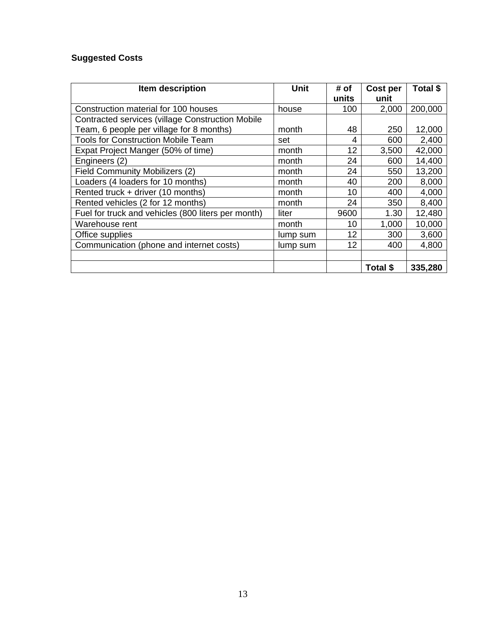# **Suggested Costs**

| Item description                                        | <b>Unit</b> | # of  | Cost per | Total \$ |
|---------------------------------------------------------|-------------|-------|----------|----------|
|                                                         |             | units | unit     |          |
| Construction material for 100 houses                    | house       | 100   | 2,000    | 200,000  |
| <b>Contracted services (village Construction Mobile</b> |             |       |          |          |
| Team, 6 people per village for 8 months)                | month       | 48    | 250      | 12,000   |
| <b>Tools for Construction Mobile Team</b>               | set         | 4     | 600      | 2,400    |
| Expat Project Manger (50% of time)                      | month       | 12    | 3,500    | 42,000   |
| Engineers (2)                                           | month       | 24    | 600      | 14,400   |
| <b>Field Community Mobilizers (2)</b>                   | month       | 24    | 550      | 13,200   |
| Loaders (4 loaders for 10 months)                       | month       | 40    | 200      | 8,000    |
| Rented truck + driver (10 months)                       | month       | 10    | 400      | 4,000    |
| Rented vehicles (2 for 12 months)                       | month       | 24    | 350      | 8,400    |
| Fuel for truck and vehicles (800 liters per month)      | liter       | 9600  | 1.30     | 12,480   |
| Warehouse rent                                          | month       | 10    | 1,000    | 10,000   |
| Office supplies                                         | lump sum    | 12    | 300      | 3,600    |
| Communication (phone and internet costs)                | lump sum    | 12    | 400      | 4,800    |
|                                                         |             |       |          |          |
|                                                         |             |       | Total \$ | 335,280  |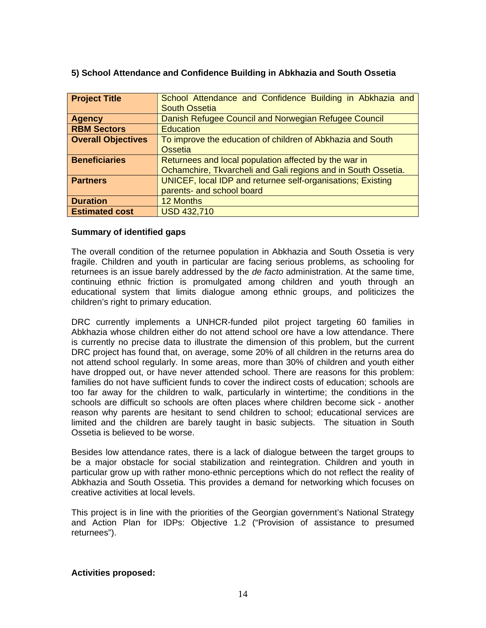| <b>Project Title</b>      | School Attendance and Confidence Building in Abkhazia and     |
|---------------------------|---------------------------------------------------------------|
|                           | <b>South Ossetia</b>                                          |
| <b>Agency</b>             | Danish Refugee Council and Norwegian Refugee Council          |
| <b>RBM Sectors</b>        | <b>Education</b>                                              |
| <b>Overall Objectives</b> | To improve the education of children of Abkhazia and South    |
|                           | Ossetia                                                       |
| <b>Beneficiaries</b>      | Returnees and local population affected by the war in         |
|                           | Ochamchire, Tkvarcheli and Gali regions and in South Ossetia. |
| <b>Partners</b>           | UNICEF, local IDP and returnee self-organisations; Existing   |
|                           | parents- and school board                                     |
| <b>Duration</b>           | <b>12 Months</b>                                              |
| <b>Estimated cost</b>     | <b>USD 432,710</b>                                            |

# <span id="page-13-0"></span>**5) School Attendance and Confidence Building in Abkhazia and South Ossetia**

#### **Summary of identified gaps**

The overall condition of the returnee population in Abkhazia and South Ossetia is very fragile. Children and youth in particular are facing serious problems, as schooling for returnees is an issue barely addressed by the *de facto* administration. At the same time, continuing ethnic friction is promulgated among children and youth through an educational system that limits dialogue among ethnic groups, and politicizes the children's right to primary education.

DRC currently implements a UNHCR-funded pilot project targeting 60 families in Abkhazia whose children either do not attend school ore have a low attendance. There is currently no precise data to illustrate the dimension of this problem, but the current DRC project has found that, on average, some 20% of all children in the returns area do not attend school regularly. In some areas, more than 30% of children and youth either have dropped out, or have never attended school. There are reasons for this problem: families do not have sufficient funds to cover the indirect costs of education; schools are too far away for the children to walk, particularly in wintertime; the conditions in the schools are difficult so schools are often places where children become sick - another reason why parents are hesitant to send children to school; educational services are limited and the children are barely taught in basic subjects. The situation in South Ossetia is believed to be worse.

Besides low attendance rates, there is a lack of dialogue between the target groups to be a major obstacle for social stabilization and reintegration. Children and youth in particular grow up with rather mono-ethnic perceptions which do not reflect the reality of Abkhazia and South Ossetia. This provides a demand for networking which focuses on creative activities at local levels.

This project is in line with the priorities of the Georgian government's National Strategy and Action Plan for IDPs: Objective 1.2 ("Provision of assistance to presumed returnees").

#### **Activities proposed:**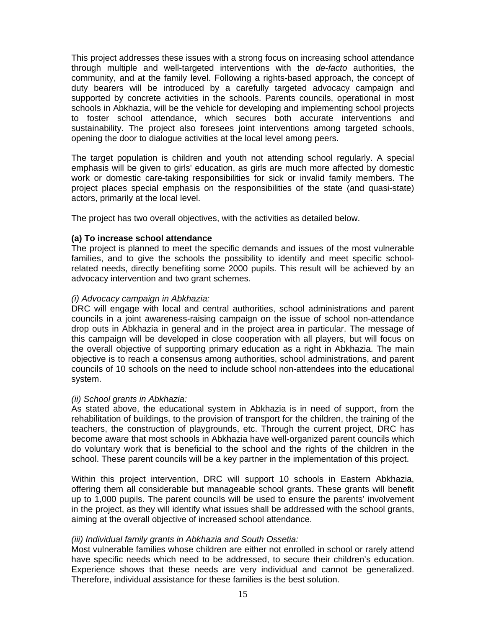This project addresses these issues with a strong focus on increasing school attendance through multiple and well-targeted interventions with the *de-facto* authorities, the community, and at the family level. Following a rights-based approach, the concept of duty bearers will be introduced by a carefully targeted advocacy campaign and supported by concrete activities in the schools. Parents councils, operational in most schools in Abkhazia, will be the vehicle for developing and implementing school projects to foster school attendance, which secures both accurate interventions and sustainability. The project also foresees joint interventions among targeted schools, opening the door to dialogue activities at the local level among peers.

The target population is children and youth not attending school regularly. A special emphasis will be given to girls' education, as girls are much more affected by domestic work or domestic care-taking responsibilities for sick or invalid family members. The project places special emphasis on the responsibilities of the state (and quasi-state) actors, primarily at the local level.

The project has two overall objectives, with the activities as detailed below.

# **(a) To increase school attendance**

The project is planned to meet the specific demands and issues of the most vulnerable families, and to give the schools the possibility to identify and meet specific schoolrelated needs, directly benefiting some 2000 pupils. This result will be achieved by an advocacy intervention and two grant schemes.

# *(i) Advocacy campaign in Abkhazia:*

DRC will engage with local and central authorities, school administrations and parent councils in a joint awareness-raising campaign on the issue of school non-attendance drop outs in Abkhazia in general and in the project area in particular. The message of this campaign will be developed in close cooperation with all players, but will focus on the overall objective of supporting primary education as a right in Abkhazia. The main objective is to reach a consensus among authorities, school administrations, and parent councils of 10 schools on the need to include school non-attendees into the educational system.

#### *(ii) School grants in Abkhazia:*

As stated above, the educational system in Abkhazia is in need of support, from the rehabilitation of buildings, to the provision of transport for the children, the training of the teachers, the construction of playgrounds, etc. Through the current project, DRC has become aware that most schools in Abkhazia have well-organized parent councils which do voluntary work that is beneficial to the school and the rights of the children in the school. These parent councils will be a key partner in the implementation of this project.

Within this project intervention, DRC will support 10 schools in Eastern Abkhazia, offering them all considerable but manageable school grants. These grants will benefit up to 1,000 pupils. The parent councils will be used to ensure the parents' involvement in the project, as they will identify what issues shall be addressed with the school grants, aiming at the overall objective of increased school attendance.

# *(iii) Individual family grants in Abkhazia and South Ossetia:*

Most vulnerable families whose children are either not enrolled in school or rarely attend have specific needs which need to be addressed, to secure their children's education. Experience shows that these needs are very individual and cannot be generalized. Therefore, individual assistance for these families is the best solution.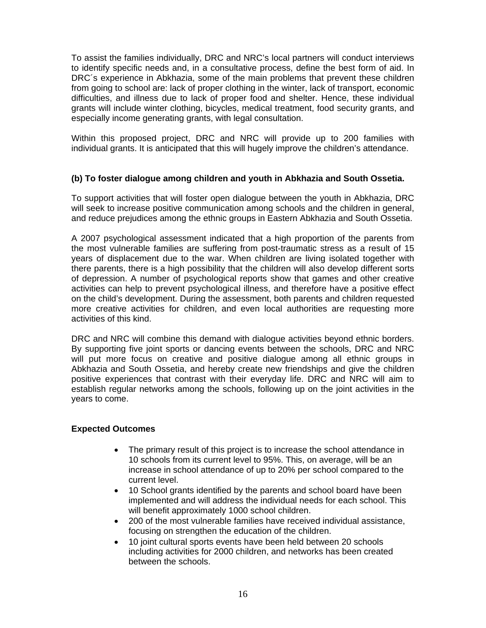To assist the families individually, DRC and NRC's local partners will conduct interviews to identify specific needs and, in a consultative process, define the best form of aid. In DRC´s experience in Abkhazia, some of the main problems that prevent these children from going to school are: lack of proper clothing in the winter, lack of transport, economic difficulties, and illness due to lack of proper food and shelter. Hence, these individual grants will include winter clothing, bicycles, medical treatment, food security grants, and especially income generating grants, with legal consultation.

Within this proposed project, DRC and NRC will provide up to 200 families with individual grants. It is anticipated that this will hugely improve the children's attendance.

# **(b) To foster dialogue among children and youth in Abkhazia and South Ossetia.**

To support activities that will foster open dialogue between the youth in Abkhazia, DRC will seek to increase positive communication among schools and the children in general, and reduce prejudices among the ethnic groups in Eastern Abkhazia and South Ossetia.

A 2007 psychological assessment indicated that a high proportion of the parents from the most vulnerable families are suffering from post-traumatic stress as a result of 15 years of displacement due to the war. When children are living isolated together with there parents, there is a high possibility that the children will also develop different sorts of depression. A number of psychological reports show that games and other creative activities can help to prevent psychological illness, and therefore have a positive effect on the child's development. During the assessment, both parents and children requested more creative activities for children, and even local authorities are requesting more activities of this kind.

DRC and NRC will combine this demand with dialogue activities beyond ethnic borders. By supporting five joint sports or dancing events between the schools, DRC and NRC will put more focus on creative and positive dialogue among all ethnic groups in Abkhazia and South Ossetia, and hereby create new friendships and give the children positive experiences that contrast with their everyday life. DRC and NRC will aim to establish regular networks among the schools, following up on the joint activities in the years to come.

# **Expected Outcomes**

- The primary result of this project is to increase the school attendance in 10 schools from its current level to 95%. This, on average, will be an increase in school attendance of up to 20% per school compared to the current level.
- 10 School grants identified by the parents and school board have been implemented and will address the individual needs for each school. This will benefit approximately 1000 school children.
- 200 of the most vulnerable families have received individual assistance, focusing on strengthen the education of the children.
- 10 joint cultural sports events have been held between 20 schools including activities for 2000 children, and networks has been created between the schools.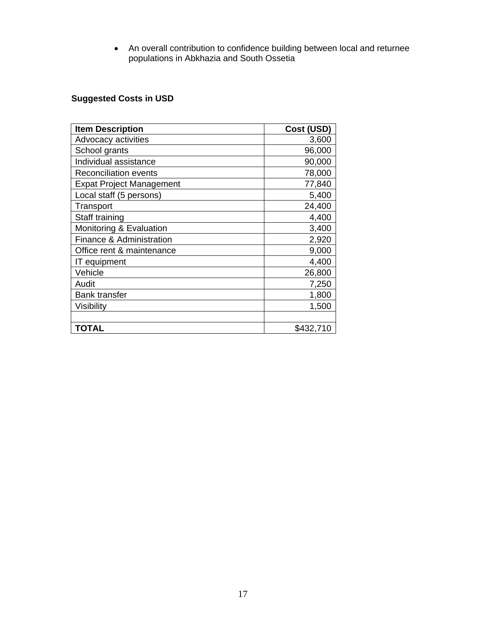• An overall contribution to confidence building between local and returnee populations in Abkhazia and South Ossetia

# **Suggested Costs in USD**

| <b>Item Description</b>         | Cost (USD) |
|---------------------------------|------------|
| Advocacy activities             | 3,600      |
| School grants                   | 96,000     |
| Individual assistance           | 90,000     |
| <b>Reconciliation events</b>    | 78,000     |
| <b>Expat Project Management</b> | 77,840     |
| Local staff (5 persons)         | 5,400      |
| Transport                       | 24,400     |
| Staff training                  | 4,400      |
| Monitoring & Evaluation         | 3,400      |
| Finance & Administration        | 2,920      |
| Office rent & maintenance       | 9,000      |
| IT equipment                    | 4,400      |
| Vehicle                         | 26,800     |
| Audit                           | 7,250      |
| <b>Bank transfer</b>            | 1,800      |
| Visibility                      | 1,500      |
|                                 |            |
| <b>TOTAL</b>                    | \$432,710  |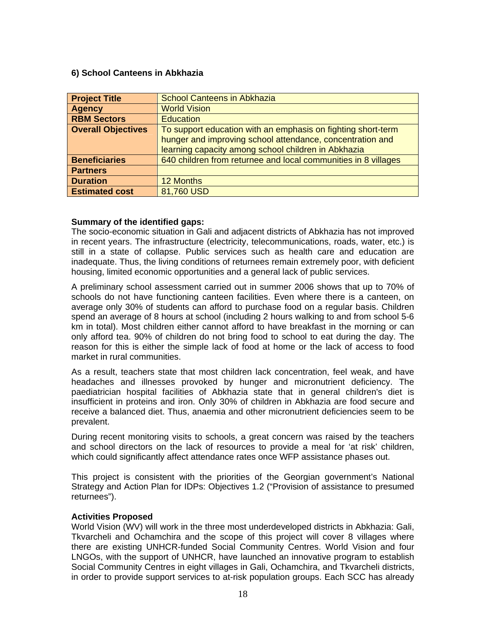# <span id="page-17-0"></span>**6) School Canteens in Abkhazia**

| <b>Project Title</b>      | <b>School Canteens in Abkhazia</b>                             |
|---------------------------|----------------------------------------------------------------|
| <b>Agency</b>             | <b>World Vision</b>                                            |
| <b>RBM Sectors</b>        | <b>Education</b>                                               |
| <b>Overall Objectives</b> | To support education with an emphasis on fighting short-term   |
|                           | hunger and improving school attendance, concentration and      |
|                           | learning capacity among school children in Abkhazia            |
| <b>Beneficiaries</b>      | 640 children from returnee and local communities in 8 villages |
| <b>Partners</b>           |                                                                |
| <b>Duration</b>           | 12 Months                                                      |
| <b>Estimated cost</b>     | 81,760 USD                                                     |

#### **Summary of the identified gaps:**

The socio-economic situation in Gali and adjacent districts of Abkhazia has not improved in recent years. The infrastructure (electricity, telecommunications, roads, water, etc.) is still in a state of collapse. Public services such as health care and education are inadequate. Thus, the living conditions of returnees remain extremely poor, with deficient housing, limited economic opportunities and a general lack of public services.

A preliminary school assessment carried out in summer 2006 shows that up to 70% of schools do not have functioning canteen facilities. Even where there is a canteen, on average only 30% of students can afford to purchase food on a regular basis. Children spend an average of 8 hours at school (including 2 hours walking to and from school 5-6 km in total). Most children either cannot afford to have breakfast in the morning or can only afford tea. 90% of children do not bring food to school to eat during the day. The reason for this is either the simple lack of food at home or the lack of access to food market in rural communities.

As a result, teachers state that most children lack concentration, feel weak, and have headaches and illnesses provoked by hunger and micronutrient deficiency. The paediatrician hospital facilities of Abkhazia state that in general children's diet is insufficient in proteins and iron. Only 30% of children in Abkhazia are food secure and receive a balanced diet. Thus, anaemia and other micronutrient deficiencies seem to be prevalent.

During recent monitoring visits to schools, a great concern was raised by the teachers and school directors on the lack of resources to provide a meal for 'at risk' children, which could significantly affect attendance rates once WFP assistance phases out.

This project is consistent with the priorities of the Georgian government's National Strategy and Action Plan for IDPs: Objectives 1.2 ("Provision of assistance to presumed returnees").

#### **Activities Proposed**

World Vision (WV) will work in the three most underdeveloped districts in Abkhazia: Gali, Tkvarcheli and Ochamchira and the scope of this project will cover 8 villages where there are existing UNHCR-funded Social Community Centres. World Vision and four LNGOs, with the support of UNHCR, have launched an innovative program to establish Social Community Centres in eight villages in Gali, Ochamchira, and Tkvarcheli districts, in order to provide support services to at-risk population groups. Each SCC has already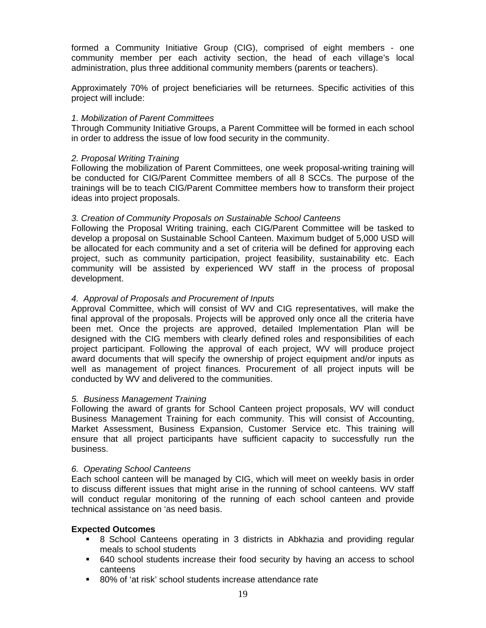formed a Community Initiative Group (CIG), comprised of eight members - one community member per each activity section, the head of each village's local administration, plus three additional community members (parents or teachers).

Approximately 70% of project beneficiaries will be returnees. Specific activities of this project will include:

# *1. Mobilization of Parent Committees*

Through Community Initiative Groups, a Parent Committee will be formed in each school in order to address the issue of low food security in the community.

# *2. Proposal Writing Training*

Following the mobilization of Parent Committees, one week proposal-writing training will be conducted for CIG/Parent Committee members of all 8 SCCs. The purpose of the trainings will be to teach CIG/Parent Committee members how to transform their project ideas into project proposals.

# *3. Creation of Community Proposals on Sustainable School Canteens*

Following the Proposal Writing training, each CIG/Parent Committee will be tasked to develop a proposal on Sustainable School Canteen. Maximum budget of 5,000 USD will be allocated for each community and a set of criteria will be defined for approving each project, such as community participation, project feasibility, sustainability etc. Each community will be assisted by experienced WV staff in the process of proposal development.

# *4. Approval of Proposals and Procurement of Inputs*

Approval Committee, which will consist of WV and CIG representatives, will make the final approval of the proposals. Projects will be approved only once all the criteria have been met. Once the projects are approved, detailed Implementation Plan will be designed with the CIG members with clearly defined roles and responsibilities of each project participant. Following the approval of each project, WV will produce project award documents that will specify the ownership of project equipment and/or inputs as well as management of project finances. Procurement of all project inputs will be conducted by WV and delivered to the communities.

# *5. Business Management Training*

Following the award of grants for School Canteen project proposals, WV will conduct Business Management Training for each community. This will consist of Accounting, Market Assessment, Business Expansion, Customer Service etc. This training will ensure that all project participants have sufficient capacity to successfully run the business.

#### *6. Operating School Canteens*

Each school canteen will be managed by CIG, which will meet on weekly basis in order to discuss different issues that might arise in the running of school canteens. WV staff will conduct regular monitoring of the running of each school canteen and provide technical assistance on 'as need basis.

# **Expected Outcomes**

- 8 School Canteens operating in 3 districts in Abkhazia and providing regular meals to school students
- 640 school students increase their food security by having an access to school canteens
- 80% of 'at risk' school students increase attendance rate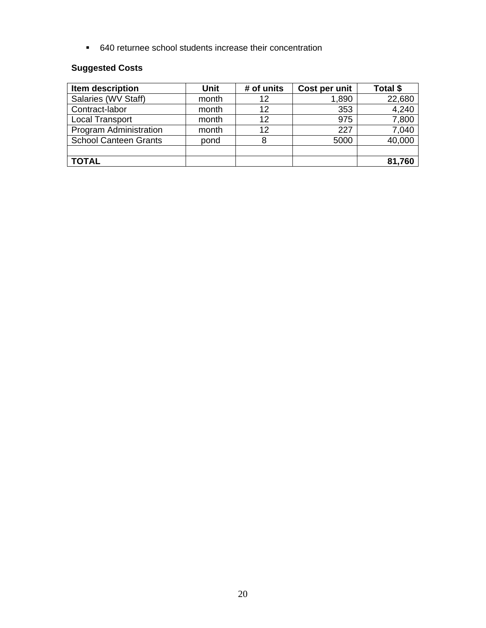640 returnee school students increase their concentration

# **Suggested Costs**

| Item description             | <b>Unit</b> | # of units | Cost per unit | Total \$ |
|------------------------------|-------------|------------|---------------|----------|
| Salaries (WV Staff)          | month       | 12         | 1,890         | 22,680   |
| Contract-labor               | month       | 12         | 353           | 4,240    |
| <b>Local Transport</b>       | month       | 12         | 975           | 7,800    |
| Program Administration       | month       | 12         | 227           | 7,040    |
| <b>School Canteen Grants</b> | pond        | 8          | 5000          | 40,000   |
|                              |             |            |               |          |
| <b>TOTAL</b>                 |             |            |               | 81,760   |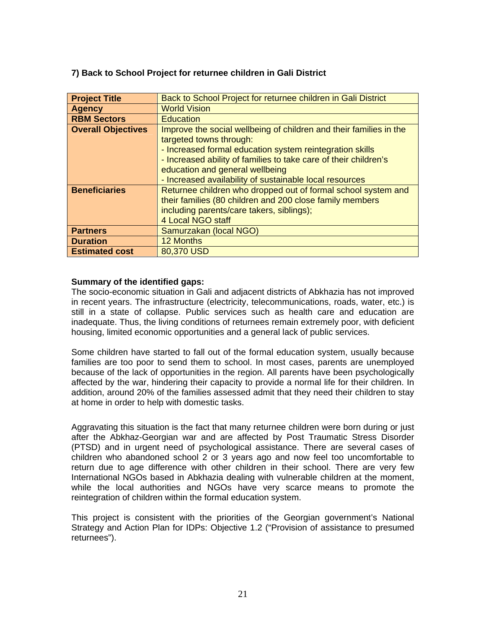# <span id="page-20-0"></span>**7) Back to School Project for returnee children in Gali District**

| <b>Project Title</b>      | Back to School Project for returnee children in Gali District      |
|---------------------------|--------------------------------------------------------------------|
| <b>Agency</b>             | <b>World Vision</b>                                                |
| <b>RBM Sectors</b>        | <b>Education</b>                                                   |
| <b>Overall Objectives</b> | Improve the social wellbeing of children and their families in the |
|                           | targeted towns through:                                            |
|                           | - Increased formal education system reintegration skills           |
|                           | - Increased ability of families to take care of their children's   |
|                           | education and general wellbeing                                    |
|                           | - Increased availability of sustainable local resources            |
| <b>Beneficiaries</b>      | Returnee children who dropped out of formal school system and      |
|                           | their families (80 children and 200 close family members           |
|                           | including parents/care takers, siblings);                          |
|                           | 4 Local NGO staff                                                  |
| <b>Partners</b>           | Samurzakan (local NGO)                                             |
| <b>Duration</b>           | 12 Months                                                          |
| <b>Estimated cost</b>     | 80,370 USD                                                         |

# **Summary of the identified gaps:**

The socio-economic situation in Gali and adjacent districts of Abkhazia has not improved in recent years. The infrastructure (electricity, telecommunications, roads, water, etc.) is still in a state of collapse. Public services such as health care and education are inadequate. Thus, the living conditions of returnees remain extremely poor, with deficient housing, limited economic opportunities and a general lack of public services.

Some children have started to fall out of the formal education system, usually because families are too poor to send them to school. In most cases, parents are unemployed because of the lack of opportunities in the region. All parents have been psychologically affected by the war, hindering their capacity to provide a normal life for their children. In addition, around 20% of the families assessed admit that they need their children to stay at home in order to help with domestic tasks.

Aggravating this situation is the fact that many returnee children were born during or just after the Abkhaz-Georgian war and are affected by Post Traumatic Stress Disorder (PTSD) and in urgent need of psychological assistance. There are several cases of children who abandoned school 2 or 3 years ago and now feel too uncomfortable to return due to age difference with other children in their school. There are very few International NGOs based in Abkhazia dealing with vulnerable children at the moment, while the local authorities and NGOs have very scarce means to promote the reintegration of children within the formal education system.

This project is consistent with the priorities of the Georgian government's National Strategy and Action Plan for IDPs: Objective 1.2 ("Provision of assistance to presumed returnees").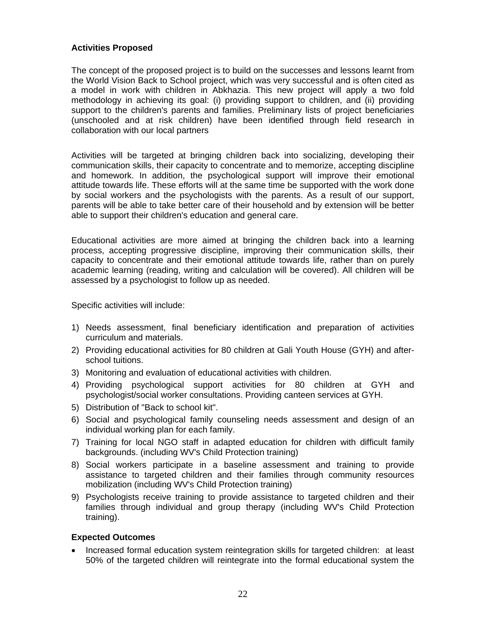# **Activities Proposed**

The concept of the proposed project is to build on the successes and lessons learnt from the World Vision Back to School project, which was very successful and is often cited as a model in work with children in Abkhazia. This new project will apply a two fold methodology in achieving its goal: (i) providing support to children, and (ii) providing support to the children's parents and families. Preliminary lists of project beneficiaries (unschooled and at risk children) have been identified through field research in collaboration with our local partners

Activities will be targeted at bringing children back into socializing, developing their communication skills, their capacity to concentrate and to memorize, accepting discipline and homework. In addition, the psychological support will improve their emotional attitude towards life. These efforts will at the same time be supported with the work done by social workers and the psychologists with the parents. As a result of our support, parents will be able to take better care of their household and by extension will be better able to support their children's education and general care.

Educational activities are more aimed at bringing the children back into a learning process, accepting progressive discipline, improving their communication skills, their capacity to concentrate and their emotional attitude towards life, rather than on purely academic learning (reading, writing and calculation will be covered). All children will be assessed by a psychologist to follow up as needed.

Specific activities will include:

- 1) Needs assessment, final beneficiary identification and preparation of activities curriculum and materials.
- 2) Providing educational activities for 80 children at Gali Youth House (GYH) and afterschool tuitions.
- 3) Monitoring and evaluation of educational activities with children.
- 4) Providing psychological support activities for 80 children at GYH and psychologist/social worker consultations. Providing canteen services at GYH.
- 5) Distribution of "Back to school kit".
- 6) Social and psychological family counseling needs assessment and design of an individual working plan for each family.
- 7) Training for local NGO staff in adapted education for children with difficult family backgrounds. (including WV's Child Protection training)
- 8) Social workers participate in a baseline assessment and training to provide assistance to targeted children and their families through community resources mobilization (including WV's Child Protection training)
- 9) Psychologists receive training to provide assistance to targeted children and their families through individual and group therapy (including WV's Child Protection training).

# **Expected Outcomes**

• Increased formal education system reintegration skills for targeted children: at least 50% of the targeted children will reintegrate into the formal educational system the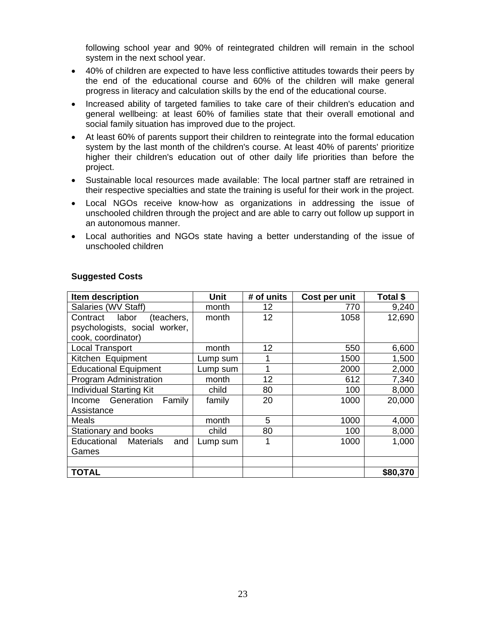following school year and 90% of reintegrated children will remain in the school system in the next school year.

- 40% of children are expected to have less conflictive attitudes towards their peers by the end of the educational course and 60% of the children will make general progress in literacy and calculation skills by the end of the educational course.
- Increased ability of targeted families to take care of their children's education and general wellbeing: at least 60% of families state that their overall emotional and social family situation has improved due to the project.
- At least 60% of parents support their children to reintegrate into the formal education system by the last month of the children's course. At least 40% of parents' prioritize higher their children's education out of other daily life priorities than before the project.
- Sustainable local resources made available: The local partner staff are retrained in their respective specialties and state the training is useful for their work in the project.
- Local NGOs receive know-how as organizations in addressing the issue of unschooled children through the project and are able to carry out follow up support in an autonomous manner.
- Local authorities and NGOs state having a better understanding of the issue of unschooled children

| Item description                    | Unit     | # of units | Cost per unit | Total \$ |
|-------------------------------------|----------|------------|---------------|----------|
| Salaries (WV Staff)                 | month    | 12         | 770           | 9,240    |
| Contract labor<br>(teachers,        | month    | 12         | 1058          | 12,690   |
| psychologists, social worker,       |          |            |               |          |
| cook, coordinator)                  |          |            |               |          |
| <b>Local Transport</b>              | month    | 12         | 550           | 6,600    |
| Kitchen Equipment                   | Lump sum |            | 1500          | 1,500    |
| <b>Educational Equipment</b>        | Lump sum | 1          | 2000          | 2,000    |
| Program Administration              | month    | 12         | 612           | 7,340    |
| <b>Individual Starting Kit</b>      | child    | 80         | 100           | 8,000    |
| Income Generation<br>Family         | family   | 20         | 1000          | 20,000   |
| Assistance                          |          |            |               |          |
| Meals                               | month    | 5          | 1000          | 4,000    |
| Stationary and books                | child    | 80         | 100           | 8,000    |
| <b>Educational Materials</b><br>and | Lump sum | 1          | 1000          | 1,000    |
| Games                               |          |            |               |          |
|                                     |          |            |               |          |
| <b>TOTAL</b>                        |          |            |               | \$80,370 |

# **Suggested Costs**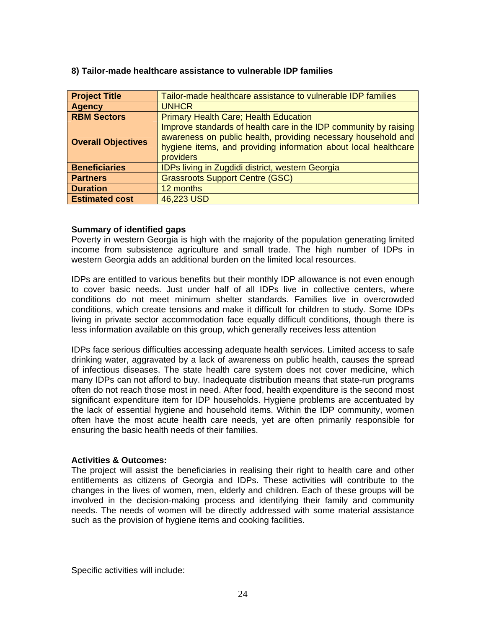| <b>Project Title</b>      | Tailor-made healthcare assistance to vulnerable IDP families                                                                                                                                                      |
|---------------------------|-------------------------------------------------------------------------------------------------------------------------------------------------------------------------------------------------------------------|
| <b>Agency</b>             | <b>UNHCR</b>                                                                                                                                                                                                      |
| <b>RBM Sectors</b>        | <b>Primary Health Care; Health Education</b>                                                                                                                                                                      |
| <b>Overall Objectives</b> | Improve standards of health care in the IDP community by raising<br>awareness on public health, providing necessary household and<br>hygiene items, and providing information about local healthcare<br>providers |
| <b>Beneficiaries</b>      | <b>IDPs living in Zugdidi district, western Georgia</b>                                                                                                                                                           |
| <b>Partners</b>           | <b>Grassroots Support Centre (GSC)</b>                                                                                                                                                                            |
| <b>Duration</b>           | 12 months                                                                                                                                                                                                         |
| <b>Estimated cost</b>     | 46,223 USD                                                                                                                                                                                                        |

#### <span id="page-23-0"></span>**8) Tailor-made healthcare assistance to vulnerable IDP families**

# **Summary of identified gaps**

Poverty in western Georgia is high with the majority of the population generating limited income from subsistence agriculture and small trade. The high number of IDPs in western Georgia adds an additional burden on the limited local resources.

IDPs are entitled to various benefits but their monthly IDP allowance is not even enough to cover basic needs. Just under half of all IDPs live in collective centers, where conditions do not meet minimum shelter standards. Families live in overcrowded conditions, which create tensions and make it difficult for children to study. Some IDPs living in private sector accommodation face equally difficult conditions, though there is less information available on this group, which generally receives less attention

IDPs face serious difficulties accessing adequate health services. Limited access to safe drinking water, aggravated by a lack of awareness on public health, causes the spread of infectious diseases. The state health care system does not cover medicine, which many IDPs can not afford to buy. Inadequate distribution means that state-run programs often do not reach those most in need. After food, health expenditure is the second most significant expenditure item for IDP households. Hygiene problems are accentuated by the lack of essential hygiene and household items. Within the IDP community, women often have the most acute health care needs, yet are often primarily responsible for ensuring the basic health needs of their families.

#### **Activities & Outcomes:**

The project will assist the beneficiaries in realising their right to health care and other entitlements as citizens of Georgia and IDPs. These activities will contribute to the changes in the lives of women, men, elderly and children. Each of these groups will be involved in the decision-making process and identifying their family and community needs. The needs of women will be directly addressed with some material assistance such as the provision of hygiene items and cooking facilities.

Specific activities will include: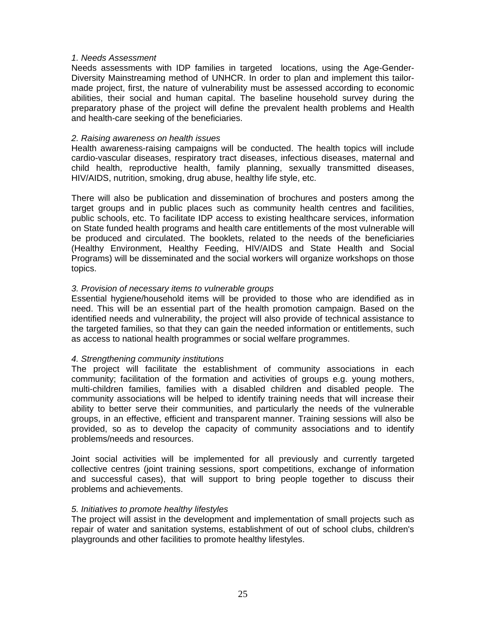#### *1. Needs Assessment*

Needs assessments with IDP families in targeted locations, using the Age-Gender-Diversity Mainstreaming method of UNHCR. In order to plan and implement this tailormade project, first, the nature of vulnerability must be assessed according to economic abilities, their social and human capital. The baseline household survey during the preparatory phase of the project will define the prevalent health problems and Health and health-care seeking of the beneficiaries.

#### *2. Raising awareness on health issues*

Health awareness-raising campaigns will be conducted. The health topics will include cardio-vascular diseases, respiratory tract diseases, infectious diseases, maternal and child health, reproductive health, family planning, sexually transmitted diseases, HIV/AIDS, nutrition, smoking, drug abuse, healthy life style, etc.

There will also be publication and dissemination of brochures and posters among the target groups and in public places such as community health centres and facilities, public schools, etc. To facilitate IDP access to existing healthcare services, information on State funded health programs and health care entitlements of the most vulnerable will be produced and circulated. The booklets, related to the needs of the beneficiaries (Healthy Environment, Healthy Feeding, HIV/AIDS and State Health and Social Programs) will be disseminated and the social workers will organize workshops on those topics.

#### *3. Provision of necessary items to vulnerable groups*

Essential hygiene/household items will be provided to those who are idendified as in need. This will be an essential part of the health promotion campaign. Based on the identified needs and vulnerability, the project will also provide of technical assistance to the targeted families, so that they can gain the needed information or entitlements, such as access to national health programmes or social welfare programmes.

#### *4. Strengthening community institutions*

The project will facilitate the establishment of community associations in each community; facilitation of the formation and activities of groups e.g. young mothers, multi-children families, families with a disabled children and disabled people. The community associations will be helped to identify training needs that will increase their ability to better serve their communities, and particularly the needs of the vulnerable groups, in an effective, efficient and transparent manner. Training sessions will also be provided, so as to develop the capacity of community associations and to identify problems/needs and resources.

Joint social activities will be implemented for all previously and currently targeted collective centres (joint training sessions, sport competitions, exchange of information and successful cases), that will support to bring people together to discuss their problems and achievements.

#### *5. Initiatives to promote healthy lifestyles*

The project will assist in the development and implementation of small projects such as repair of water and sanitation systems, establishment of out of school clubs, children's playgrounds and other facilities to promote healthy lifestyles.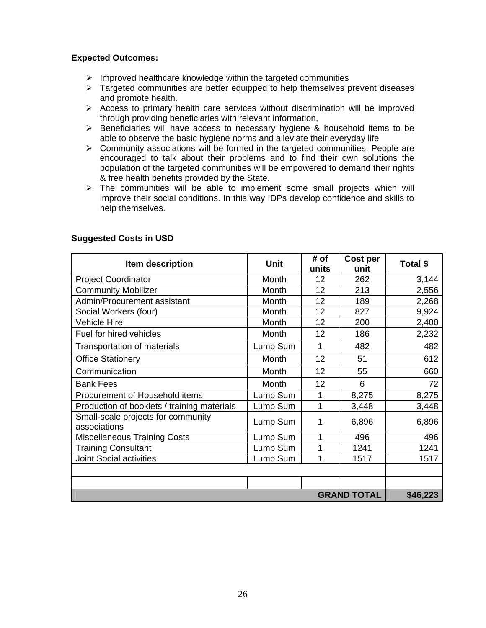# **Expected Outcomes:**

- $\triangleright$  Improved healthcare knowledge within the targeted communities
- $\triangleright$  Targeted communities are better equipped to help themselves prevent diseases and promote health.
- $\triangleright$  Access to primary health care services without discrimination will be improved through providing beneficiaries with relevant information,
- ¾ Beneficiaries will have access to necessary hygiene & household items to be able to observe the basic hygiene norms and alleviate their everyday life
- $\triangleright$  Community associations will be formed in the targeted communities. People are encouraged to talk about their problems and to find their own solutions the population of the targeted communities will be empowered to demand their rights & free health benefits provided by the State.
- $\triangleright$  The communities will be able to implement some small projects which will improve their social conditions. In this way IDPs develop confidence and skills to help themselves.

| Item description                                   | Unit     | # of<br>units | Cost per<br>unit   | Total \$ |
|----------------------------------------------------|----------|---------------|--------------------|----------|
| <b>Project Coordinator</b>                         | Month    | 12            | 262                | 3,144    |
| <b>Community Mobilizer</b>                         | Month    | 12            | 213                | 2,556    |
| Admin/Procurement assistant                        | Month    | 12            | 189                | 2,268    |
| Social Workers (four)                              | Month    | 12            | 827                | 9,924    |
| <b>Vehicle Hire</b>                                | Month    | 12            | 200                | 2,400    |
| Fuel for hired vehicles                            | Month    | 12            | 186                | 2,232    |
| Transportation of materials                        | Lump Sum | 1             | 482                | 482      |
| <b>Office Stationery</b>                           | Month    | 12            | 51                 | 612      |
| Communication                                      | Month    | 12            | 55                 | 660      |
| <b>Bank Fees</b>                                   | Month    | 12            | 6                  | 72       |
| Procurement of Household items                     | Lump Sum | 1             | 8,275              | 8,275    |
| Production of booklets / training materials        | Lump Sum | 1             | 3,448              | 3,448    |
| Small-scale projects for community<br>associations | Lump Sum | 1             | 6,896              | 6,896    |
| <b>Miscellaneous Training Costs</b>                | Lump Sum | 1             | 496                | 496      |
| <b>Training Consultant</b>                         | Lump Sum | 1             | 1241               | 1241     |
| <b>Joint Social activities</b>                     | Lump Sum | 1             | 1517               | 1517     |
|                                                    |          |               |                    |          |
|                                                    |          |               |                    |          |
|                                                    |          |               | <b>GRAND TOTAL</b> | \$46,223 |

# **Suggested Costs in USD**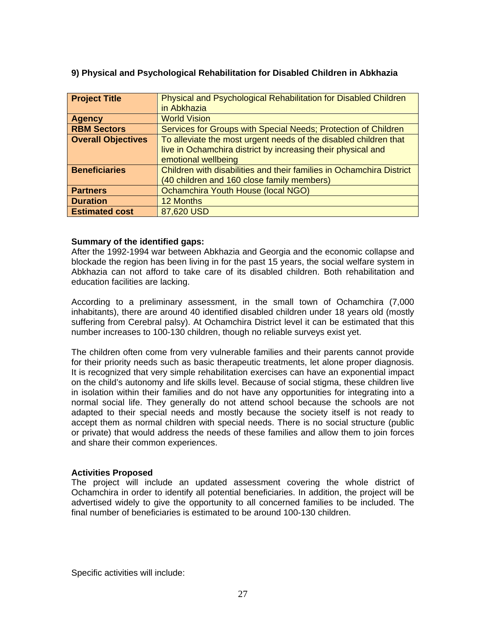| <b>Project Title</b>      | Physical and Psychological Rehabilitation for Disabled Children      |
|---------------------------|----------------------------------------------------------------------|
|                           | in Abkhazia                                                          |
| <b>Agency</b>             | <b>World Vision</b>                                                  |
| <b>RBM Sectors</b>        | Services for Groups with Special Needs; Protection of Children       |
| <b>Overall Objectives</b> | To alleviate the most urgent needs of the disabled children that     |
|                           | live in Ochamchira district by increasing their physical and         |
|                           | emotional wellbeing                                                  |
| <b>Beneficiaries</b>      | Children with disabilities and their families in Ochamchira District |
|                           | (40 children and 160 close family members)                           |
| <b>Partners</b>           | Ochamchira Youth House (local NGO)                                   |
| <b>Duration</b>           | 12 Months                                                            |
| <b>Estimated cost</b>     | 87,620 USD                                                           |

# <span id="page-26-0"></span>**9) Physical and Psychological Rehabilitation for Disabled Children in Abkhazia**

# **Summary of the identified gaps:**

After the 1992-1994 war between Abkhazia and Georgia and the economic collapse and blockade the region has been living in for the past 15 years, the social welfare system in Abkhazia can not afford to take care of its disabled children. Both rehabilitation and education facilities are lacking.

According to a preliminary assessment, in the small town of Ochamchira (7,000 inhabitants), there are around 40 identified disabled children under 18 years old (mostly suffering from Cerebral palsy). At Ochamchira District level it can be estimated that this number increases to 100-130 children, though no reliable surveys exist yet.

The children often come from very vulnerable families and their parents cannot provide for their priority needs such as basic therapeutic treatments, let alone proper diagnosis. It is recognized that very simple rehabilitation exercises can have an exponential impact on the child's autonomy and life skills level. Because of social stigma, these children live in isolation within their families and do not have any opportunities for integrating into a normal social life. They generally do not attend school because the schools are not adapted to their special needs and mostly because the society itself is not ready to accept them as normal children with special needs. There is no social structure (public or private) that would address the needs of these families and allow them to join forces and share their common experiences.

#### **Activities Proposed**

The project will include an updated assessment covering the whole district of Ochamchira in order to identify all potential beneficiaries. In addition, the project will be advertised widely to give the opportunity to all concerned families to be included. The final number of beneficiaries is estimated to be around 100-130 children.

Specific activities will include: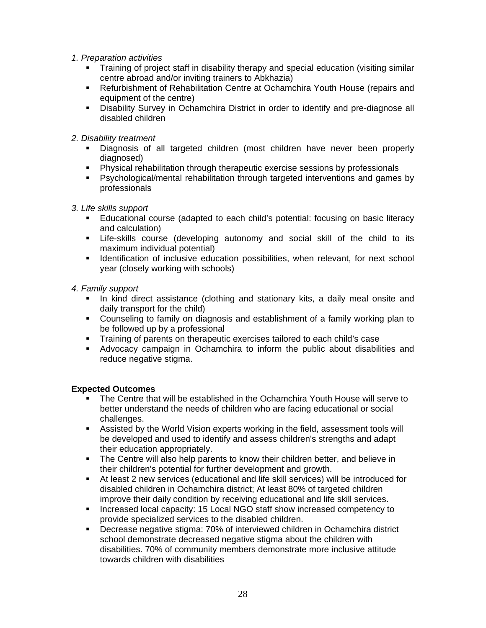- *1. Preparation activities* 
	- Training of project staff in disability therapy and special education (visiting similar centre abroad and/or inviting trainers to Abkhazia)
	- Refurbishment of Rehabilitation Centre at Ochamchira Youth House (repairs and equipment of the centre)
	- **Disability Survey in Ochamchira District in order to identify and pre-diagnose all** disabled children
- *2. Disability treatment* 
	- Diagnosis of all targeted children (most children have never been properly diagnosed)
	- Physical rehabilitation through therapeutic exercise sessions by professionals
	- Psychological/mental rehabilitation through targeted interventions and games by professionals
- *3. Life skills support* 
	- **Educational course (adapted to each child's potential: focusing on basic literacy** and calculation)
	- Life-skills course (developing autonomy and social skill of the child to its maximum individual potential)
	- **IDENTIFICATION IS INCO EXECUTE:** Identification possibilities, when relevant, for next school year (closely working with schools)
- *4. Family support* 
	- In kind direct assistance (clothing and stationary kits, a daily meal onsite and daily transport for the child)
	- Counseling to family on diagnosis and establishment of a family working plan to be followed up by a professional
	- Training of parents on therapeutic exercises tailored to each child's case
	- Advocacy campaign in Ochamchira to inform the public about disabilities and reduce negative stigma.

# **Expected Outcomes**

- The Centre that will be established in the Ochamchira Youth House will serve to better understand the needs of children who are facing educational or social challenges.
- Assisted by the World Vision experts working in the field, assessment tools will be developed and used to identify and assess children's strengths and adapt their education appropriately.
- The Centre will also help parents to know their children better, and believe in their children's potential for further development and growth.
- At least 2 new services (educational and life skill services) will be introduced for disabled children in Ochamchira district; At least 80% of targeted children improve their daily condition by receiving educational and life skill services.
- Increased local capacity: 15 Local NGO staff show increased competency to provide specialized services to the disabled children.
- Decrease negative stigma: 70% of interviewed children in Ochamchira district school demonstrate decreased negative stigma about the children with disabilities. 70% of community members demonstrate more inclusive attitude towards children with disabilities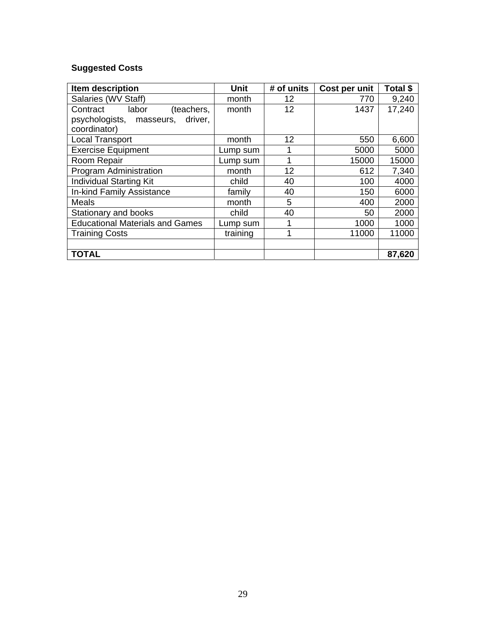# **Suggested Costs**

| Item description                       | <b>Unit</b> | # of units        | Cost per unit | Total \$ |
|----------------------------------------|-------------|-------------------|---------------|----------|
| Salaries (WV Staff)                    | month       | 12                | 770           | 9,240    |
| labor<br>Contract<br>(teachers,        | month       | 12                | 1437          | 17,240   |
| psychologists, masseurs,<br>driver,    |             |                   |               |          |
| coordinator)                           |             |                   |               |          |
| <b>Local Transport</b>                 | month       | $12 \overline{ }$ | 550           | 6,600    |
| <b>Exercise Equipment</b>              | Lump sum    |                   | 5000          | 5000     |
| Room Repair                            | Lump sum    |                   | 15000         | 15000    |
| Program Administration                 | month       | 12                | 612           | 7,340    |
| <b>Individual Starting Kit</b>         | child       | 40                | 100           | 4000     |
| In-kind Family Assistance              | family      | 40                | 150           | 6000     |
| Meals                                  | month       | 5                 | 400           | 2000     |
| Stationary and books                   | child       | 40                | 50            | 2000     |
| <b>Educational Materials and Games</b> | Lump sum    |                   | 1000          | 1000     |
| <b>Training Costs</b>                  | training    |                   | 11000         | 11000    |
|                                        |             |                   |               |          |
| <b>TOTAL</b>                           |             |                   |               | 87,620   |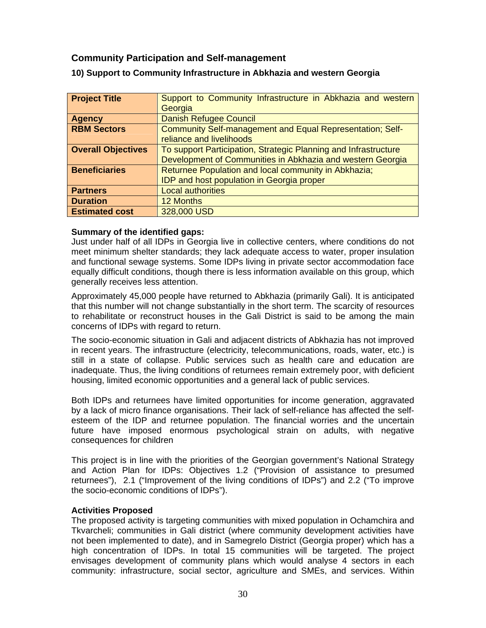# <span id="page-29-0"></span> **Community Participation and Self-management**

| <b>Project Title</b>      | Support to Community Infrastructure in Abkhazia and western     |
|---------------------------|-----------------------------------------------------------------|
|                           | Georgia                                                         |
| <b>Agency</b>             | <b>Danish Refugee Council</b>                                   |
| <b>RBM Sectors</b>        | Community Self-management and Equal Representation; Self-       |
|                           | reliance and livelihoods                                        |
| <b>Overall Objectives</b> | To support Participation, Strategic Planning and Infrastructure |
|                           | Development of Communities in Abkhazia and western Georgia      |
| <b>Beneficiaries</b>      | Returnee Population and local community in Abkhazia;            |
|                           | <b>IDP and host population in Georgia proper</b>                |
| <b>Partners</b>           | <b>Local authorities</b>                                        |
| <b>Duration</b>           | 12 Months                                                       |
| <b>Estimated cost</b>     | 328,000 USD                                                     |

# **10) Support to Community Infrastructure in Abkhazia and western Georgia**

# **Summary of the identified gaps:**

Just under half of all IDPs in Georgia live in collective centers, where conditions do not meet minimum shelter standards; they lack adequate access to water, proper insulation and functional sewage systems. Some IDPs living in private sector accommodation face equally difficult conditions, though there is less information available on this group, which generally receives less attention.

Approximately 45,000 people have returned to Abkhazia (primarily Gali). It is anticipated that this number will not change substantially in the short term. The scarcity of resources to rehabilitate or reconstruct houses in the Gali District is said to be among the main concerns of IDPs with regard to return.

The socio-economic situation in Gali and adjacent districts of Abkhazia has not improved in recent years. The infrastructure (electricity, telecommunications, roads, water, etc.) is still in a state of collapse. Public services such as health care and education are inadequate. Thus, the living conditions of returnees remain extremely poor, with deficient housing, limited economic opportunities and a general lack of public services.

Both IDPs and returnees have limited opportunities for income generation, aggravated by a lack of micro finance organisations. Their lack of self-reliance has affected the selfesteem of the IDP and returnee population. The financial worries and the uncertain future have imposed enormous psychological strain on adults, with negative consequences for children

This project is in line with the priorities of the Georgian government's National Strategy and Action Plan for IDPs: Objectives 1.2 ("Provision of assistance to presumed returnees"), 2.1 ("Improvement of the living conditions of IDPs") and 2.2 ("To improve the socio-economic conditions of IDPs").

# **Activities Proposed**

The proposed activity is targeting communities with mixed population in Ochamchira and Tkvarcheli; communities in Gali district (where community development activities have not been implemented to date), and in Samegrelo District (Georgia proper) which has a high concentration of IDPs. In total 15 communities will be targeted. The project envisages development of community plans which would analyse 4 sectors in each community: infrastructure, social sector, agriculture and SMEs, and services. Within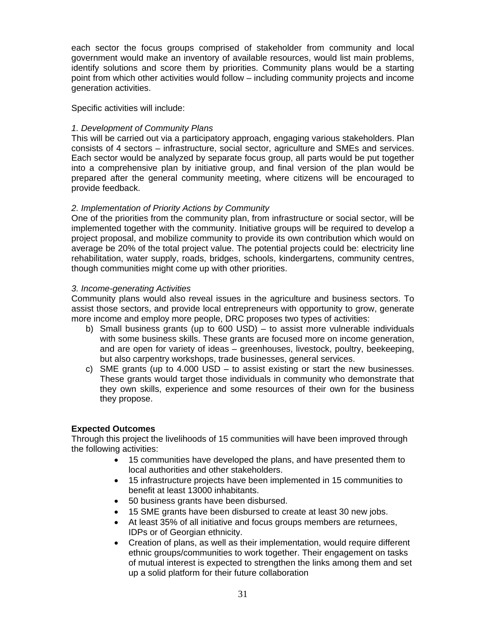each sector the focus groups comprised of stakeholder from community and local government would make an inventory of available resources, would list main problems, identify solutions and score them by priorities. Community plans would be a starting point from which other activities would follow – including community projects and income generation activities.

Specific activities will include:

# *1. Development of Community Plans*

This will be carried out via a participatory approach, engaging various stakeholders. Plan consists of 4 sectors – infrastructure, social sector, agriculture and SMEs and services. Each sector would be analyzed by separate focus group, all parts would be put together into a comprehensive plan by initiative group, and final version of the plan would be prepared after the general community meeting, where citizens will be encouraged to provide feedback.

# *2. Implementation of Priority Actions by Community*

One of the priorities from the community plan, from infrastructure or social sector, will be implemented together with the community. Initiative groups will be required to develop a project proposal, and mobilize community to provide its own contribution which would on average be 20% of the total project value. The potential projects could be: electricity line rehabilitation, water supply, roads, bridges, schools, kindergartens, community centres, though communities might come up with other priorities.

# *3. Income-generating Activities*

Community plans would also reveal issues in the agriculture and business sectors. To assist those sectors, and provide local entrepreneurs with opportunity to grow, generate more income and employ more people, DRC proposes two types of activities:

- b) Small business grants (up to 600 USD) to assist more vulnerable individuals with some business skills. These grants are focused more on income generation, and are open for variety of ideas – greenhouses, livestock, poultry, beekeeping, but also carpentry workshops, trade businesses, general services.
- c) SME grants (up to 4.000 USD to assist existing or start the new businesses. These grants would target those individuals in community who demonstrate that they own skills, experience and some resources of their own for the business they propose.

# **Expected Outcomes**

Through this project the livelihoods of 15 communities will have been improved through the following activities:

- 15 communities have developed the plans, and have presented them to local authorities and other stakeholders.
- 15 infrastructure projects have been implemented in 15 communities to benefit at least 13000 inhabitants.
- 50 business grants have been disbursed.
- 15 SME grants have been disbursed to create at least 30 new jobs.
- At least 35% of all initiative and focus groups members are returnees, IDPs or of Georgian ethnicity.
- Creation of plans, as well as their implementation, would require different ethnic groups/communities to work together. Their engagement on tasks of mutual interest is expected to strengthen the links among them and set up a solid platform for their future collaboration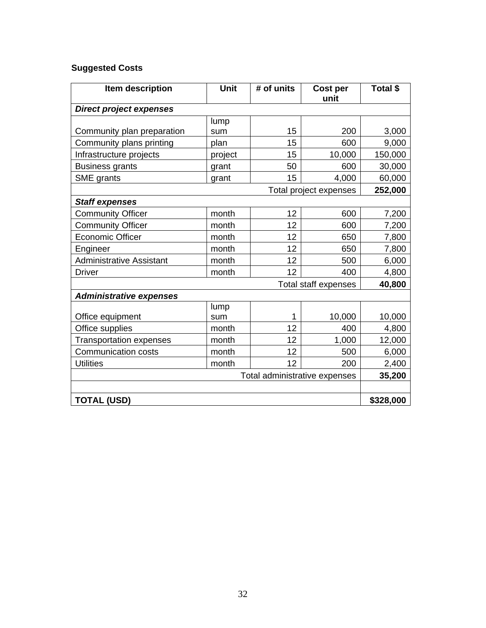# **Suggested Costs**

| Item description                | <b>Unit</b> | # of units | Cost per<br>unit            | Total \$  |
|---------------------------------|-------------|------------|-----------------------------|-----------|
| <b>Direct project expenses</b>  |             |            |                             |           |
|                                 | lump        |            |                             |           |
| Community plan preparation      | sum         | 15         | 200                         | 3,000     |
| Community plans printing        | plan        | 15         | 600                         | 9,000     |
| Infrastructure projects         | project     | 15         | 10,000                      | 150,000   |
| <b>Business grants</b>          | grant       | 50         | 600                         | 30,000    |
| SME grants                      | grant       | 15         | 4,000                       | 60,000    |
|                                 |             |            | Total project expenses      | 252,000   |
| <b>Staff expenses</b>           |             |            |                             |           |
| <b>Community Officer</b>        | month       | 12         | 600                         | 7,200     |
| <b>Community Officer</b>        | month       | 12         | 600                         | 7,200     |
| <b>Economic Officer</b>         | month       | 12         | 650                         | 7,800     |
| Engineer                        | month       | 12         | 650                         | 7,800     |
| <b>Administrative Assistant</b> | month       | 12         | 500                         | 6,000     |
| <b>Driver</b>                   | month       | 12         | 400                         | 4,800     |
|                                 |             |            | <b>Total staff expenses</b> | 40,800    |
| <b>Administrative expenses</b>  |             |            |                             |           |
|                                 | lump        |            |                             |           |
| Office equipment                | sum         | 1          | 10,000                      | 10,000    |
| Office supplies                 | month       | 12         | 400                         | 4,800     |
| <b>Transportation expenses</b>  | month       | 12         | 1,000                       | 12,000    |
| <b>Communication costs</b>      | month       | 12         | 500                         | 6,000     |
| <b>Utilities</b>                | month       | 12         | 200                         | 2,400     |
| Total administrative expenses   |             |            |                             | 35,200    |
|                                 |             |            |                             |           |
| <b>TOTAL (USD)</b>              |             |            |                             | \$328,000 |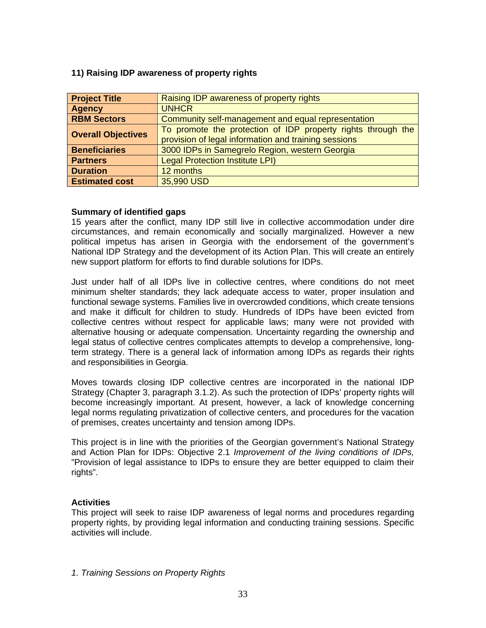# <span id="page-32-0"></span>**11) Raising IDP awareness of property rights**

| <b>Project Title</b>      | Raising IDP awareness of property rights                     |
|---------------------------|--------------------------------------------------------------|
| <b>Agency</b>             | <b>UNHCR</b>                                                 |
| <b>RBM Sectors</b>        | Community self-management and equal representation           |
| <b>Overall Objectives</b> | To promote the protection of IDP property rights through the |
|                           | provision of legal information and training sessions         |
| <b>Beneficiaries</b>      | 3000 IDPs in Samegrelo Region, western Georgia               |
| <b>Partners</b>           | <b>Legal Protection Institute LPI)</b>                       |
| <b>Duration</b>           | 12 months                                                    |
| <b>Estimated cost</b>     | 35,990 USD                                                   |

# **Summary of identified gaps**

15 years after the conflict, many IDP still live in collective accommodation under dire circumstances, and remain economically and socially marginalized. However a new political impetus has arisen in Georgia with the endorsement of the government's National IDP Strategy and the development of its Action Plan. This will create an entirely new support platform for efforts to find durable solutions for IDPs.

Just under half of all IDPs live in collective centres, where conditions do not meet minimum shelter standards; they lack adequate access to water, proper insulation and functional sewage systems. Families live in overcrowded conditions, which create tensions and make it difficult for children to study. Hundreds of IDPs have been evicted from collective centres without respect for applicable laws; many were not provided with alternative housing or adequate compensation. Uncertainty regarding the ownership and legal status of collective centres complicates attempts to develop a comprehensive, longterm strategy. There is a general lack of information among IDPs as regards their rights and responsibilities in Georgia.

Moves towards closing IDP collective centres are incorporated in the national IDP Strategy (Chapter 3, paragraph 3.1.2). As such the protection of IDPs' property rights will become increasingly important. At present, however, a lack of knowledge concerning legal norms regulating privatization of collective centers, and procedures for the vacation of premises, creates uncertainty and tension among IDPs.

This project is in line with the priorities of the Georgian government's National Strategy and Action Plan for IDPs: Objective 2.1 *Improvement of the living conditions of IDPs,* "Provision of legal assistance to IDPs to ensure they are better equipped to claim their rights".

# **Activities**

This project will seek to raise IDP awareness of legal norms and procedures regarding property rights, by providing legal information and conducting training sessions. Specific activities will include.

*1. Training Sessions on Property Rights*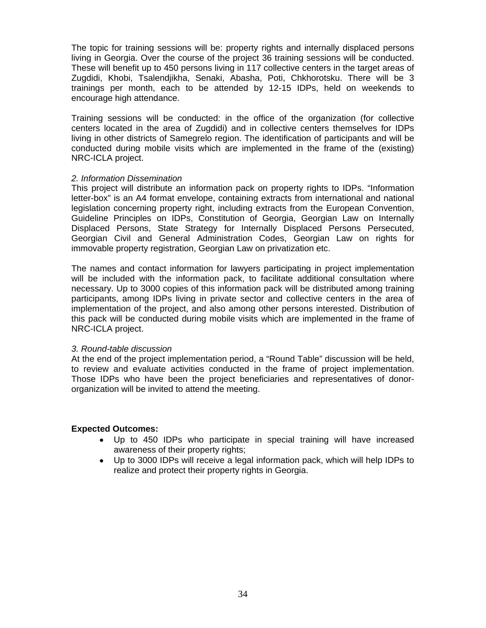The topic for training sessions will be: property rights and internally displaced persons living in Georgia. Over the course of the project 36 training sessions will be conducted. These will benefit up to 450 persons living in 117 collective centers in the target areas of Zugdidi, Khobi, Tsalendjikha, Senaki, Abasha, Poti, Chkhorotsku. There will be 3 trainings per month, each to be attended by 12-15 IDPs, held on weekends to encourage high attendance.

Training sessions will be conducted: in the office of the organization (for collective centers located in the area of Zugdidi) and in collective centers themselves for IDPs living in other districts of Samegrelo region. The identification of participants and will be conducted during mobile visits which are implemented in the frame of the (existing) NRC-ICLA project.

# *2. Information Dissemination*

This project will distribute an information pack on property rights to IDPs. "Information letter-box" is an A4 format envelope, containing extracts from international and national legislation concerning property right, including extracts from the European Convention, Guideline Principles on IDPs, Constitution of Georgia, Georgian Law on Internally Displaced Persons, State Strategy for Internally Displaced Persons Persecuted, Georgian Civil and General Administration Codes, Georgian Law on rights for immovable property registration, Georgian Law on privatization etc.

The names and contact information for lawyers participating in project implementation will be included with the information pack, to facilitate additional consultation where necessary. Up to 3000 copies of this information pack will be distributed among training participants, among IDPs living in private sector and collective centers in the area of implementation of the project, and also among other persons interested. Distribution of this pack will be conducted during mobile visits which are implemented in the frame of NRC-ICLA project.

#### *3. Round-table discussion*

At the end of the project implementation period, a "Round Table" discussion will be held, to review and evaluate activities conducted in the frame of project implementation. Those IDPs who have been the project beneficiaries and representatives of donororganization will be invited to attend the meeting.

# **Expected Outcomes:**

- Up to 450 IDPs who participate in special training will have increased awareness of their property rights;
- Up to 3000 IDPs will receive a legal information pack, which will help IDPs to realize and protect their property rights in Georgia.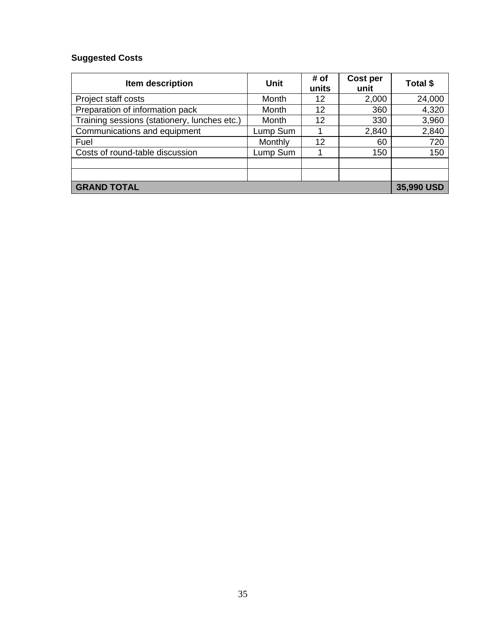# **Suggested Costs**

| Item description                             | <b>Unit</b> | # of<br>units | Cost per<br>unit | Total \$   |
|----------------------------------------------|-------------|---------------|------------------|------------|
| Project staff costs                          | Month       | 12            | 2,000            | 24,000     |
| Preparation of information pack              | Month       | 12            | 360              | 4,320      |
| Training sessions (stationery, lunches etc.) | Month       | 12            | 330              | 3,960      |
| Communications and equipment                 | Lump Sum    |               | 2,840            | 2,840      |
| Fuel                                         | Monthly     | 12            | 60               | 720        |
| Costs of round-table discussion              | Lump Sum    |               | 150              | 150        |
|                                              |             |               |                  |            |
|                                              |             |               |                  |            |
| <b>GRAND TOTAL</b>                           |             |               |                  | 35,990 USD |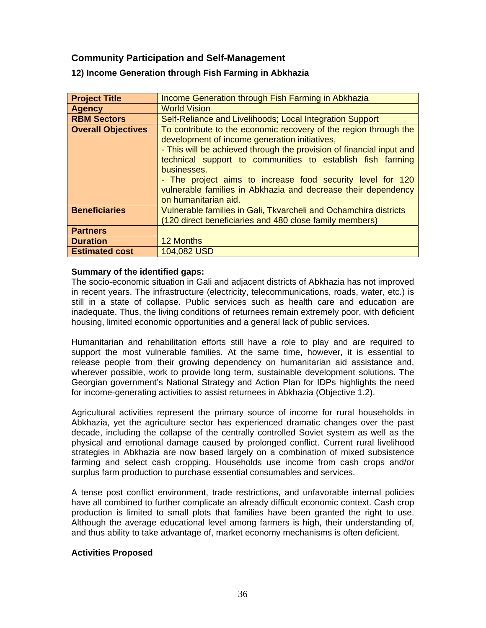# <span id="page-35-0"></span> **Community Participation and Self-Management**

| <b>Project Title</b>      | Income Generation through Fish Farming in Abkhazia                   |
|---------------------------|----------------------------------------------------------------------|
| <b>Agency</b>             | <b>World Vision</b>                                                  |
| <b>RBM Sectors</b>        | Self-Reliance and Livelihoods; Local Integration Support             |
| <b>Overall Objectives</b> | To contribute to the economic recovery of the region through the     |
|                           | development of income generation initiatives,                        |
|                           | - This will be achieved through the provision of financial input and |
|                           | technical support to communities to establish fish farming           |
|                           | businesses.                                                          |
|                           | - The project aims to increase food security level for 120           |
|                           | vulnerable families in Abkhazia and decrease their dependency        |
|                           | on humanitarian aid.                                                 |
| <b>Beneficiaries</b>      | Vulnerable families in Gali, Tkvarcheli and Ochamchira districts     |
|                           | (120 direct beneficiaries and 480 close family members)              |
| <b>Partners</b>           |                                                                      |
| <b>Duration</b>           | <b>12 Months</b>                                                     |
| <b>Estimated cost</b>     | 104,082 USD                                                          |

# **12) Income Generation through Fish Farming in Abkhazia**

#### **Summary of the identified gaps:**

The socio-economic situation in Gali and adjacent districts of Abkhazia has not improved in recent years. The infrastructure (electricity, telecommunications, roads, water, etc.) is still in a state of collapse. Public services such as health care and education are inadequate. Thus, the living conditions of returnees remain extremely poor, with deficient housing, limited economic opportunities and a general lack of public services.

Humanitarian and rehabilitation efforts still have a role to play and are required to support the most vulnerable families. At the same time, however, it is essential to release people from their growing dependency on humanitarian aid assistance and, wherever possible, work to provide long term, sustainable development solutions. The Georgian government's National Strategy and Action Plan for IDPs highlights the need for income-generating activities to assist returnees in Abkhazia (Objective 1.2).

Agricultural activities represent the primary source of income for rural households in Abkhazia, yet the agriculture sector has experienced dramatic changes over the past decade, including the collapse of the centrally controlled Soviet system as well as the physical and emotional damage caused by prolonged conflict. Current rural livelihood strategies in Abkhazia are now based largely on a combination of mixed subsistence farming and select cash cropping. Households use income from cash crops and/or surplus farm production to purchase essential consumables and services.

A tense post conflict environment, trade restrictions, and unfavorable internal policies have all combined to further complicate an already difficult economic context. Cash crop production is limited to small plots that families have been granted the right to use. Although the average educational level among farmers is high, their understanding of, and thus ability to take advantage of, market economy mechanisms is often deficient.

#### **Activities Proposed**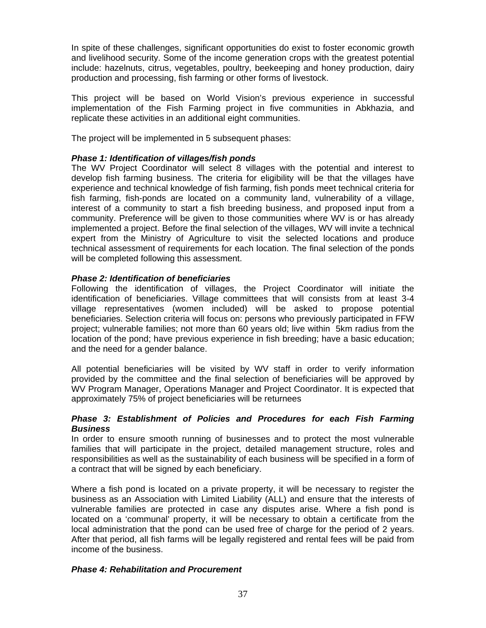In spite of these challenges, significant opportunities do exist to foster economic growth and livelihood security. Some of the income generation crops with the greatest potential include: hazelnuts, citrus, vegetables, poultry, beekeeping and honey production, dairy production and processing, fish farming or other forms of livestock.

This project will be based on World Vision's previous experience in successful implementation of the Fish Farming project in five communities in Abkhazia, and replicate these activities in an additional eight communities.

The project will be implemented in 5 subsequent phases:

# *Phase 1: Identification of villages/fish ponds*

The WV Project Coordinator will select 8 villages with the potential and interest to develop fish farming business. The criteria for eligibility will be that the villages have experience and technical knowledge of fish farming, fish ponds meet technical criteria for fish farming, fish-ponds are located on a community land, vulnerability of a village, interest of a community to start a fish breeding business, and proposed input from a community. Preference will be given to those communities where WV is or has already implemented a project. Before the final selection of the villages, WV will invite a technical expert from the Ministry of Agriculture to visit the selected locations and produce technical assessment of requirements for each location. The final selection of the ponds will be completed following this assessment.

# *Phase 2: Identification of beneficiaries*

Following the identification of villages, the Project Coordinator will initiate the identification of beneficiaries. Village committees that will consists from at least 3-4 village representatives (women included) will be asked to propose potential beneficiaries. Selection criteria will focus on: persons who previously participated in FFW project; vulnerable families; not more than 60 years old; live within 5km radius from the location of the pond; have previous experience in fish breeding; have a basic education; and the need for a gender balance.

All potential beneficiaries will be visited by WV staff in order to verify information provided by the committee and the final selection of beneficiaries will be approved by WV Program Manager, Operations Manager and Project Coordinator. It is expected that approximately 75% of project beneficiaries will be returnees

# *Phase 3: Establishment of Policies and Procedures for each Fish Farming Business*

In order to ensure smooth running of businesses and to protect the most vulnerable families that will participate in the project, detailed management structure, roles and responsibilities as well as the sustainability of each business will be specified in a form of a contract that will be signed by each beneficiary.

Where a fish pond is located on a private property, it will be necessary to register the business as an Association with Limited Liability (ALL) and ensure that the interests of vulnerable families are protected in case any disputes arise. Where a fish pond is located on a 'communal' property, it will be necessary to obtain a certificate from the local administration that the pond can be used free of charge for the period of 2 years. After that period, all fish farms will be legally registered and rental fees will be paid from income of the business.

# *Phase 4: Rehabilitation and Procurement*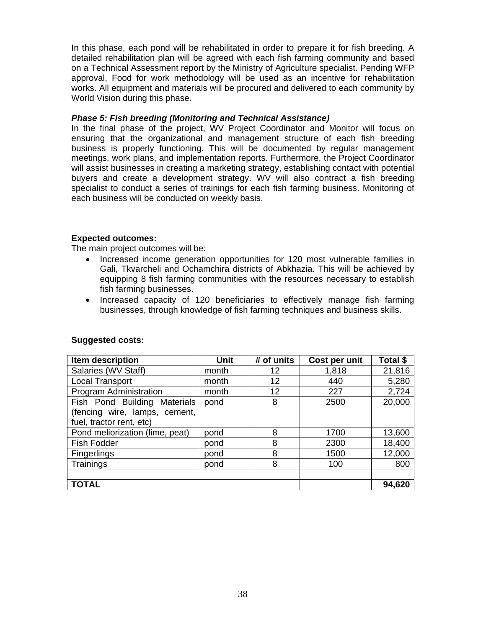In this phase, each pond will be rehabilitated in order to prepare it for fish breeding. A detailed rehabilitation plan will be agreed with each fish farming community and based on a Technical Assessment report by the Ministry of Agriculture specialist. Pending WFP approval, Food for work methodology will be used as an incentive for rehabilitation works. All equipment and materials will be procured and delivered to each community by World Vision during this phase.

# *Phase 5: Fish breeding (Monitoring and Technical Assistance)*

In the final phase of the project, WV Project Coordinator and Monitor will focus on ensuring that the organizational and management structure of each fish breeding business is properly functioning. This will be documented by regular management meetings, work plans, and implementation reports. Furthermore, the Project Coordinator will assist businesses in creating a marketing strategy, establishing contact with potential buyers and create a development strategy. WV will also contract a fish breeding specialist to conduct a series of trainings for each fish farming business. Monitoring of each business will be conducted on weekly basis.

# **Expected outcomes:**

The main project outcomes will be:

- Increased income generation opportunities for 120 most vulnerable families in Gali, Tkvarcheli and Ochamchira districts of Abkhazia. This will be achieved by equipping 8 fish farming communities with the resources necessary to establish fish farming businesses.
- Increased capacity of 120 beneficiaries to effectively manage fish farming businesses, through knowledge of fish farming techniques and business skills.

| Item description                | <b>Unit</b> | # of units | Cost per unit | Total \$ |
|---------------------------------|-------------|------------|---------------|----------|
| Salaries (WV Staff)             | month       | 12         | 1,818         | 21,816   |
| <b>Local Transport</b>          | month       | 12         | 440           | 5,280    |
| Program Administration          | month       | 12         | 227           | 2,724    |
| Fish Pond Building Materials    | pond        | 8          | 2500          | 20,000   |
| (fencing wire, lamps, cement,   |             |            |               |          |
| fuel, tractor rent, etc)        |             |            |               |          |
| Pond meliorization (lime, peat) | pond        | 8          | 1700          | 13,600   |
| Fish Fodder                     | pond        | 8          | 2300          | 18,400   |
| <b>Fingerlings</b>              | pond        | 8          | 1500          | 12,000   |
| Trainings                       | pond        | 8          | 100           | 800      |
|                                 |             |            |               |          |
| <b>TOTAL</b>                    |             |            |               | 94,620   |

#### **Suggested costs:**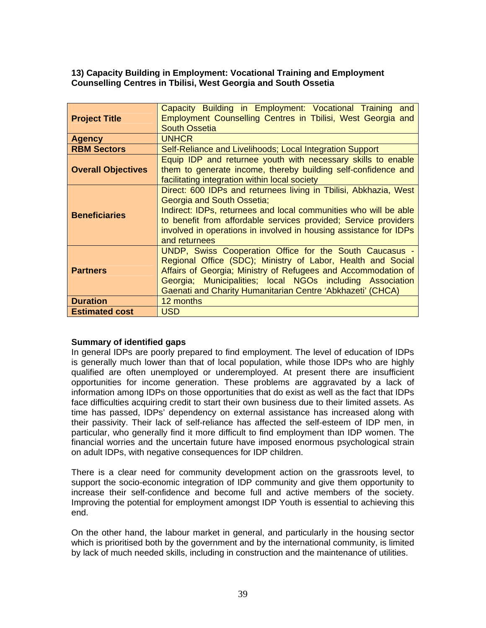# <span id="page-38-0"></span>**13) Capacity Building in Employment: Vocational Training and Employment Counselling Centres in Tbilisi, West Georgia and South Ossetia**

| <b>Project Title</b>      | Capacity Building in Employment: Vocational Training and<br>Employment Counselling Centres in Tbilisi, West Georgia and<br><b>South Ossetia</b>                                                                                                                                                                             |
|---------------------------|-----------------------------------------------------------------------------------------------------------------------------------------------------------------------------------------------------------------------------------------------------------------------------------------------------------------------------|
| <b>Agency</b>             | <b>UNHCR</b>                                                                                                                                                                                                                                                                                                                |
| <b>RBM Sectors</b>        | Self-Reliance and Livelihoods; Local Integration Support                                                                                                                                                                                                                                                                    |
| <b>Overall Objectives</b> | Equip IDP and returnee youth with necessary skills to enable<br>them to generate income, thereby building self-confidence and<br>facilitating integration within local society                                                                                                                                              |
| <b>Beneficiaries</b>      | Direct: 600 IDPs and returnees living in Tbilisi, Abkhazia, West<br>Georgia and South Ossetia;<br>Indirect: IDPs, returnees and local communities who will be able<br>to benefit from affordable services provided; Service providers<br>involved in operations in involved in housing assistance for IDPs<br>and returnees |
| <b>Partners</b>           | UNDP, Swiss Cooperation Office for the South Caucasus -<br>Regional Office (SDC); Ministry of Labor, Health and Social<br>Affairs of Georgia; Ministry of Refugees and Accommodation of<br>Georgia; Municipalities; local NGOs including Association<br>Gaenati and Charity Humanitarian Centre 'Abkhazeti' (CHCA)          |
| <b>Duration</b>           | 12 months                                                                                                                                                                                                                                                                                                                   |
| <b>Estimated cost</b>     | <b>USD</b>                                                                                                                                                                                                                                                                                                                  |

# **Summary of identified gaps**

In general IDPs are poorly prepared to find employment. The level of education of IDPs is generally much lower than that of local population, while those IDPs who are highly qualified are often unemployed or underemployed. At present there are insufficient opportunities for income generation. These problems are aggravated by a lack of information among IDPs on those opportunities that do exist as well as the fact that IDPs face difficulties acquiring credit to start their own business due to their limited assets. As time has passed, IDPs' dependency on external assistance has increased along with their passivity. Their lack of self-reliance has affected the self-esteem of IDP men, in particular, who generally find it more difficult to find employment than IDP women. The financial worries and the uncertain future have imposed enormous psychological strain on adult IDPs, with negative consequences for IDP children.

There is a clear need for community development action on the grassroots level, to support the socio-economic integration of IDP community and give them opportunity to increase their self-confidence and become full and active members of the society. Improving the potential for employment amongst IDP Youth is essential to achieving this end.

On the other hand, the labour market in general, and particularly in the housing sector which is prioritised both by the government and by the international community, is limited by lack of much needed skills, including in construction and the maintenance of utilities.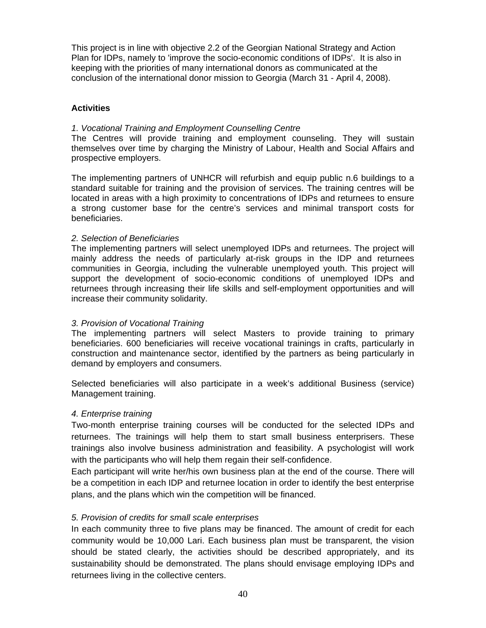This project is in line with objective 2.2 of the Georgian National Strategy and Action Plan for IDPs, namely to 'improve the socio-economic conditions of IDPs'. It is also in keeping with the priorities of many international donors as communicated at the conclusion of the international donor mission to Georgia (March 31 - April 4, 2008).

# **Activities**

#### *1. Vocational Training and Employment Counselling Centre*

The Centres will provide training and employment counseling. They will sustain themselves over time by charging the Ministry of Labour, Health and Social Affairs and prospective employers.

The implementing partners of UNHCR will refurbish and equip public n.6 buildings to a standard suitable for training and the provision of services. The training centres will be located in areas with a high proximity to concentrations of IDPs and returnees to ensure a strong customer base for the centre's services and minimal transport costs for beneficiaries.

# *2. Selection of Beneficiaries*

The implementing partners will select unemployed IDPs and returnees. The project will mainly address the needs of particularly at-risk groups in the IDP and returnees communities in Georgia, including the vulnerable unemployed youth. This project will support the development of socio-economic conditions of unemployed IDPs and returnees through increasing their life skills and self-employment opportunities and will increase their community solidarity.

# *3. Provision of Vocational Training*

The implementing partners will select Masters to provide training to primary beneficiaries. 600 beneficiaries will receive vocational trainings in crafts, particularly in construction and maintenance sector, identified by the partners as being particularly in demand by employers and consumers.

Selected beneficiaries will also participate in a week's additional Business (service) Management training.

#### *4. Enterprise training*

Two-month enterprise training courses will be conducted for the selected IDPs and returnees. The trainings will help them to start small business enterprisers. These trainings also involve business administration and feasibility. A psychologist will work with the participants who will help them regain their self-confidence.

Each participant will write her/his own business plan at the end of the course. There will be a competition in each IDP and returnee location in order to identify the best enterprise plans, and the plans which win the competition will be financed.

#### *5. Provision of credits for small scale enterprises*

In each community three to five plans may be financed. The amount of credit for each community would be 10,000 Lari. Each business plan must be transparent, the vision should be stated clearly, the activities should be described appropriately, and its sustainability should be demonstrated. The plans should envisage employing IDPs and returnees living in the collective centers.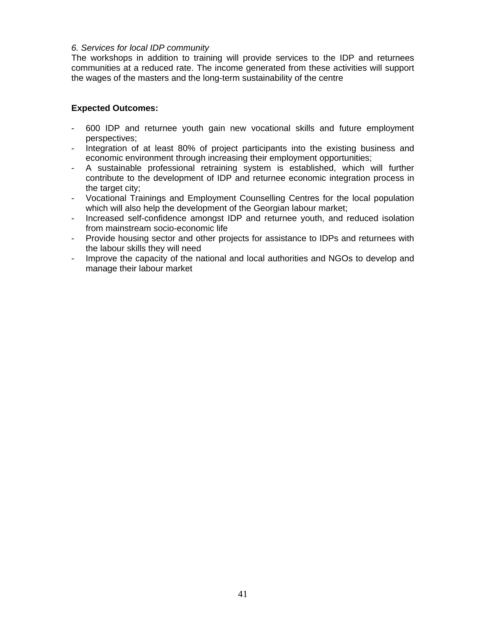# *6. Services for local IDP community*

The workshops in addition to training will provide services to the IDP and returnees communities at a reduced rate. The income generated from these activities will support the wages of the masters and the long-term sustainability of the centre

# **Expected Outcomes:**

- 600 IDP and returnee youth gain new vocational skills and future employment perspectives;
- Integration of at least 80% of project participants into the existing business and economic environment through increasing their employment opportunities;
- A sustainable professional retraining system is established, which will further contribute to the development of IDP and returnee economic integration process in the target city;
- Vocational Trainings and Employment Counselling Centres for the local population which will also help the development of the Georgian labour market;
- Increased self-confidence amongst IDP and returnee youth, and reduced isolation from mainstream socio-economic life
- Provide housing sector and other projects for assistance to IDPs and returnees with the labour skills they will need
- Improve the capacity of the national and local authorities and NGOs to develop and manage their labour market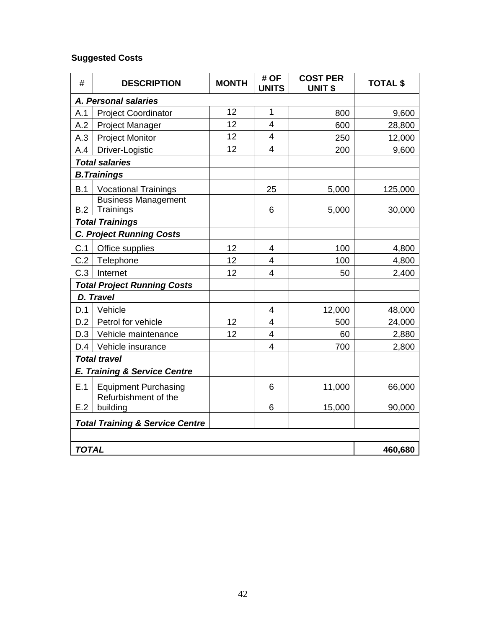# **Suggested Costs**

| #                    | <b>DESCRIPTION</b>                         | <b>MONTH</b> | # OF<br><b>UNITS</b>     | <b>COST PER</b><br><b>UNIT \$</b> | <b>TOTAL \$</b> |
|----------------------|--------------------------------------------|--------------|--------------------------|-----------------------------------|-----------------|
| A. Personal salaries |                                            |              |                          |                                   |                 |
| A.1                  | <b>Project Coordinator</b>                 | 12           | $\mathbf{1}$             | 800                               | 9,600           |
| A.2                  | <b>Project Manager</b>                     | 12           | $\overline{4}$           | 600                               | 28,800          |
| A.3                  | <b>Project Monitor</b>                     | 12           | 4                        | 250                               | 12,000          |
| A.4                  | Driver-Logistic                            | 12           | $\overline{4}$           | 200                               | 9,600           |
|                      | <b>Total salaries</b>                      |              |                          |                                   |                 |
|                      | <b>B. Trainings</b>                        |              |                          |                                   |                 |
| B.1                  | <b>Vocational Trainings</b>                |              | 25                       | 5,000                             | 125,000         |
|                      | <b>Business Management</b>                 |              |                          |                                   |                 |
| B.2                  | Trainings                                  |              | 6                        | 5,000                             | 30,000          |
|                      | <b>Total Trainings</b>                     |              |                          |                                   |                 |
|                      | <b>C. Project Running Costs</b>            |              |                          |                                   |                 |
| C.1                  | Office supplies                            | 12           | 4                        | 100                               | 4,800           |
| C.2                  | Telephone                                  | 12           | 4                        | 100                               | 4,800           |
| C.3                  | Internet                                   | 12           | $\overline{4}$           | 50                                | 2,400           |
|                      | <b>Total Project Running Costs</b>         |              |                          |                                   |                 |
|                      | D. Travel                                  |              |                          |                                   |                 |
| D.1                  | Vehicle                                    |              | 4                        | 12,000                            | 48,000          |
| D.2                  | Petrol for vehicle                         | 12           | $\overline{4}$           | 500                               | 24,000          |
| D.3                  | Vehicle maintenance                        | 12           | $\overline{\mathcal{A}}$ | 60                                | 2,880           |
| D.4                  | Vehicle insurance                          |              | $\overline{4}$           | 700                               | 2,800           |
|                      | <b>Total travel</b>                        |              |                          |                                   |                 |
|                      | E. Training & Service Centre               |              |                          |                                   |                 |
| E.1                  | <b>Equipment Purchasing</b>                |              | 6                        | 11,000                            | 66,000          |
|                      | Refurbishment of the                       |              |                          |                                   |                 |
| E.2                  | building                                   |              | 6                        | 15,000                            | 90,000          |
|                      | <b>Total Training &amp; Service Centre</b> |              |                          |                                   |                 |
|                      |                                            |              |                          |                                   |                 |
| <b>TOTAL</b>         |                                            |              |                          |                                   | 460,680         |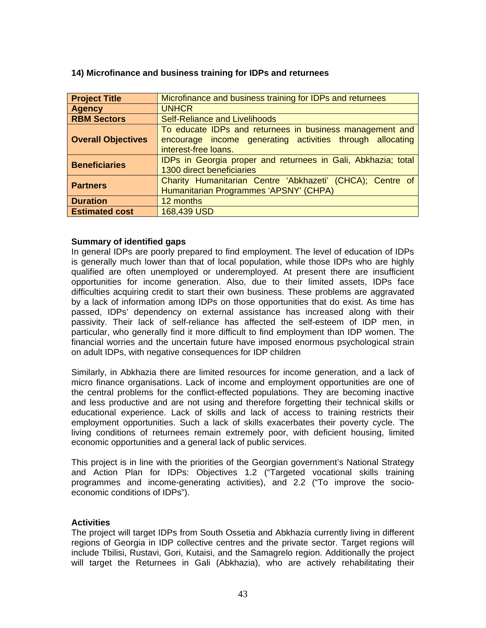| <b>Project Title</b>      | Microfinance and business training for IDPs and returnees                                                                                     |
|---------------------------|-----------------------------------------------------------------------------------------------------------------------------------------------|
| <b>Agency</b>             | <b>UNHCR</b>                                                                                                                                  |
| <b>RBM Sectors</b>        | <b>Self-Reliance and Livelihoods</b>                                                                                                          |
| <b>Overall Objectives</b> | To educate IDPs and returnees in business management and<br>encourage income generating activities through allocating<br>interest-free loans. |
| <b>Beneficiaries</b>      | IDPs in Georgia proper and returnees in Gali, Abkhazia; total<br>1300 direct beneficiaries                                                    |
| <b>Partners</b>           | Charity Humanitarian Centre 'Abkhazeti' (CHCA); Centre of<br>Humanitarian Programmes 'APSNY' (CHPA)                                           |
| <b>Duration</b>           | 12 months                                                                                                                                     |
| <b>Estimated cost</b>     | 168,439 USD                                                                                                                                   |

#### <span id="page-42-0"></span>**14) Microfinance and business training for IDPs and returnees**

# **Summary of identified gaps**

In general IDPs are poorly prepared to find employment. The level of education of IDPs is generally much lower than that of local population, while those IDPs who are highly qualified are often unemployed or underemployed. At present there are insufficient opportunities for income generation. Also, due to their limited assets, IDPs face difficulties acquiring credit to start their own business. These problems are aggravated by a lack of information among IDPs on those opportunities that do exist. As time has passed, IDPs' dependency on external assistance has increased along with their passivity. Their lack of self-reliance has affected the self-esteem of IDP men, in particular, who generally find it more difficult to find employment than IDP women. The financial worries and the uncertain future have imposed enormous psychological strain on adult IDPs, with negative consequences for IDP children

Similarly, in Abkhazia there are limited resources for income generation, and a lack of micro finance organisations. Lack of income and employment opportunities are one of the central problems for the conflict-effected populations. They are becoming inactive and less productive and are not using and therefore forgetting their technical skills or educational experience. Lack of skills and lack of access to training restricts their employment opportunities. Such a lack of skills exacerbates their poverty cycle. The living conditions of returnees remain extremely poor, with deficient housing, limited economic opportunities and a general lack of public services.

This project is in line with the priorities of the Georgian government's National Strategy and Action Plan for IDPs: Objectives 1.2 ("Targeted vocational skills training programmes and income-generating activities), and 2.2 ("To improve the socioeconomic conditions of IDPs").

#### **Activities**

The project will target IDPs from South Ossetia and Abkhazia currently living in different regions of Georgia in IDP collective centres and the private sector. Target regions will include Tbilisi, Rustavi, Gori, Kutaisi, and the Samagrelo region. Additionally the project will target the Returnees in Gali (Abkhazia), who are actively rehabilitating their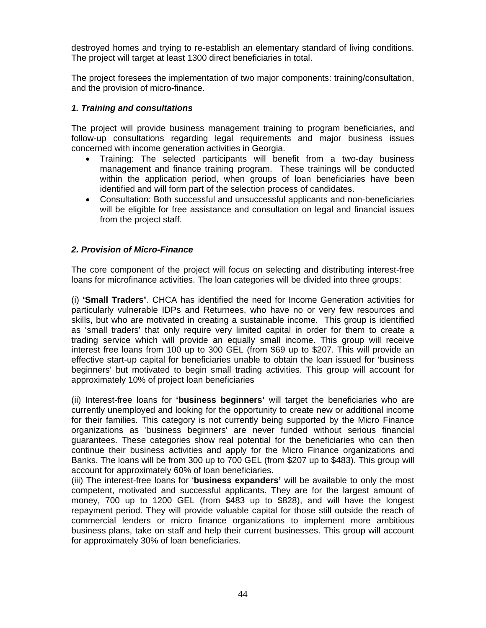destroyed homes and trying to re-establish an elementary standard of living conditions. The project will target at least 1300 direct beneficiaries in total.

The project foresees the implementation of two major components: training/consultation, and the provision of micro-finance.

# *1. Training and consultations*

The project will provide business management training to program beneficiaries, and follow-up consultations regarding legal requirements and major business issues concerned with income generation activities in Georgia.

- Training: The selected participants will benefit from a two-day business management and finance training program. These trainings will be conducted within the application period, when groups of loan beneficiaries have been identified and will form part of the selection process of candidates.
- Consultation: Both successful and unsuccessful applicants and non-beneficiaries will be eligible for free assistance and consultation on legal and financial issues from the project staff.

# *2. Provision of Micro-Finance*

The core component of the project will focus on selecting and distributing interest-free loans for microfinance activities. The loan categories will be divided into three groups:

(i) **'Small Traders**". CHCA has identified the need for Income Generation activities for particularly vulnerable IDPs and Returnees, who have no or very few resources and skills, but who are motivated in creating a sustainable income. This group is identified as 'small traders' that only require very limited capital in order for them to create a trading service which will provide an equally small income. This group will receive interest free loans from 100 up to 300 GEL (from \$69 up to \$207. This will provide an effective start-up capital for beneficiaries unable to obtain the loan issued for 'business beginners' but motivated to begin small trading activities. This group will account for approximately 10% of project loan beneficiaries

(ii) Interest-free loans for **'business beginners'** will target the beneficiaries who are currently unemployed and looking for the opportunity to create new or additional income for their families. This category is not currently being supported by the Micro Finance organizations as 'business beginners' are never funded without serious financial guarantees. These categories show real potential for the beneficiaries who can then continue their business activities and apply for the Micro Finance organizations and Banks. The loans will be from 300 up to 700 GEL (from \$207 up to \$483). This group will account for approximately 60% of loan beneficiaries.

(iii) The interest-free loans for '**business expanders'** will be available to only the most competent, motivated and successful applicants. They are for the largest amount of money, 700 up to 1200 GEL (from \$483 up to \$828), and will have the longest repayment period. They will provide valuable capital for those still outside the reach of commercial lenders or micro finance organizations to implement more ambitious business plans, take on staff and help their current businesses. This group will account for approximately 30% of loan beneficiaries.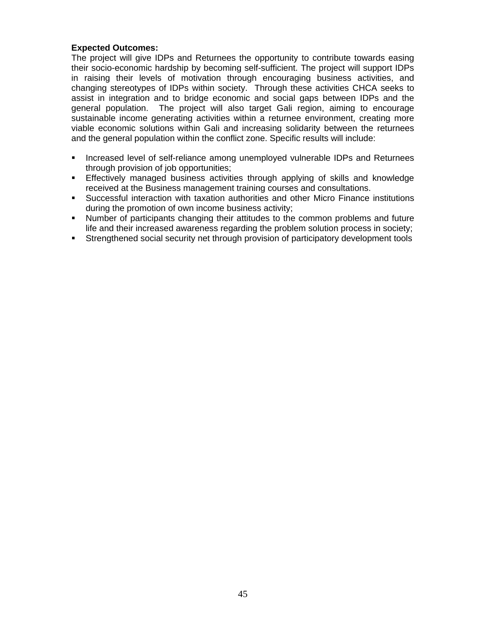# **Expected Outcomes:**

The project will give IDPs and Returnees the opportunity to contribute towards easing their socio-economic hardship by becoming self-sufficient. The project will support IDPs in raising their levels of motivation through encouraging business activities, and changing stereotypes of IDPs within society. Through these activities CHCA seeks to assist in integration and to bridge economic and social gaps between IDPs and the general population. The project will also target Gali region, aiming to encourage sustainable income generating activities within a returnee environment, creating more viable economic solutions within Gali and increasing solidarity between the returnees and the general population within the conflict zone. Specific results will include:

- **Increased level of self-reliance among unemployed vulnerable IDPs and Returnees** through provision of job opportunities;
- **Effectively managed business activities through applying of skills and knowledge** received at the Business management training courses and consultations.
- Successful interaction with taxation authorities and other Micro Finance institutions during the promotion of own income business activity;
- Number of participants changing their attitudes to the common problems and future life and their increased awareness regarding the problem solution process in society;
- Strengthened social security net through provision of participatory development tools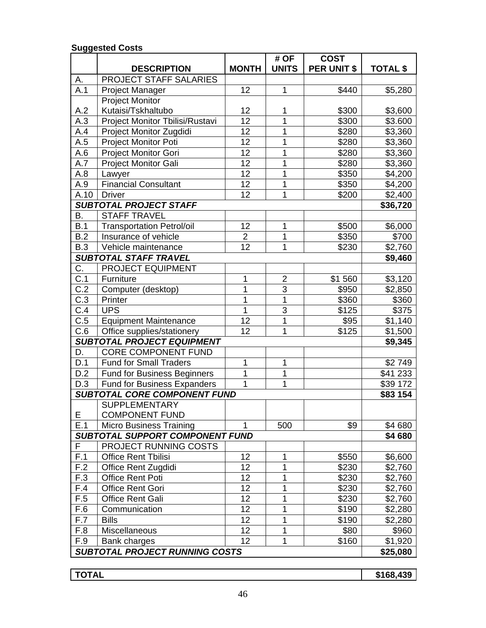#### **DESCRIPTION MONTH # OF UNITS COST PER UNIT \$ TOTAL \$**  A. PROJECT STAFF SALARIES A.1 Project Manager 12 12 1 1 | \$440 | \$5,280 A.2 Project Monitor Kutaisi/Tskhaltubo | 12 | 1 | \$300 | \$3,600 A.3 | Project Monitor Tbilisi/Rustavi | 12 | 1 | \$300 | \$3.600 A.4 Project Monitor Zugdidi | 12 | 1 | \$280 | \$3,360 A.5 | Project Monitor Poti | 12 | 1 | \$280 | \$3,360 A.6 | Project Monitor Gori | 12 | 1 | \$280 | \$3,360 A.7 | Project Monitor Gali | 12 | 1 | \$280 | \$3,360 A.8 | Lawyer | 12 | 1 | \$350 | \$4,200 A.9 Financial Consultant 12 1 1 \$350 \$4,200 A.10 Driver 12 12 1 1 | \$200 \$2,400 **SUBTOTAL PROJECT STAFF** \$36,720 B. STAFF TRAVEL B.1 | Transportation Petrol/oil | 12 | 1 | \$500 | \$6,000 B.2 Insurance of vehicle 2 1 5350 \$700<br>
B.3 Vehicle maintenance 12 1 5230 \$2.760 B.3 Vehicle maintenance 1 12 1 1 5230 \$2,760 *SUBTOTAL STAFF TRAVEL* **\$9,460** C. PROJECT EQUIPMENT C.1 Furniture 1 1 2 | \$1 560 \$3,120 C.2 Computer (desktop) 1 3 \$950 \$2,850 C.3 Printer 1 1 1 1 \$360 \$360 C.4 | UPS | 1 | 3 | \$125 | \$375 C.5 | Equipment Maintenance | 12 | 1 | \$95 | \$1,140  $C.6$  Office supplies/stationery  $\begin{array}{|c|c|c|c|c|c|c|c|c|} \hline \end{array}$  12  $\begin{array}{|c|c|c|c|c|c|c|c|} \hline \end{array}$  125  $\begin{array}{|c|c|c|c|c|c|c|c|c|} \hline \end{array}$  \$1,500 *SUBTOTAL PROJECT EQUIPMENT* **\$9,345** D. CORE COMPONENT FUND D.1 | Fund for Small Traders | 1 | 1 | 1 | \$2 749 D.2 | Fund for Business Beginners | 1 | 1 | | | | | | | \$41 233 D.3 | Fund for Business Expanders | 1 | 1 | | \$39 172 **SUBTOTAL CORE COMPONENT FUND \$83 154** E **SUPPLEMENTARY** COMPONENT FUND E.1 | Micro Business Training | 1 | 500 | \$9 | \$4 680 *SUBTOTAL SUPPORT COMPONENT FUND* **\$4 680** F | PROJECT RUNNING COSTS F.1 Office Rent Tbilisi | 12 | 1 | \$550 | \$6,600 F.2 Office Rent Zugdidi | 12 | 1 | \$230 | \$2,760 F.3 | Office Rent Poti |  $12$  | 1 | \$230 | \$2,760 F.4 Office Rent Gori | 12 | 1 | \$230 | \$2,760 F.5 Office Rent Gali 12 1 1 | \$230 | \$2,760 F.6 Communication 12 12 1 | \$190 \$2,280 F.7 | Bills | 12 | 1 | \$190 | \$2,280 F.8 | Miscellaneous | 12 | 1 | \$80 | \$960 F.9 | Bank charges  $\begin{vmatrix} 1 & 1 & 1 \\ 1 & 1 & 1 \end{vmatrix}$  \$160 | \$1,920 *SUBTOTAL PROJECT RUNNING COSTS* **\$25,080**

#### **Suggested Costs**

**TOTAL \$168,439**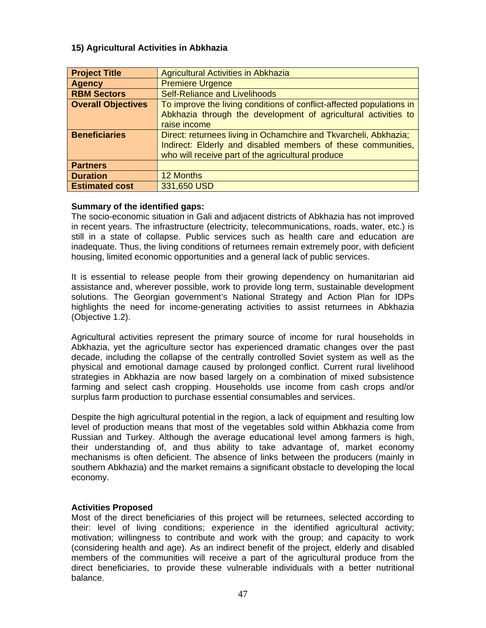# <span id="page-46-0"></span>**15) Agricultural Activities in Abkhazia**

| <b>Project Title</b>      | <b>Agricultural Activities in Abkhazia</b>                           |
|---------------------------|----------------------------------------------------------------------|
| <b>Agency</b>             | <b>Premiere Urgence</b>                                              |
| <b>RBM Sectors</b>        | <b>Self-Reliance and Livelihoods</b>                                 |
| <b>Overall Objectives</b> | To improve the living conditions of conflict-affected populations in |
|                           | Abkhazia through the development of agricultural activities to       |
|                           | raise income                                                         |
| <b>Beneficiaries</b>      | Direct: returnees living in Ochamchire and Tkvarcheli, Abkhazia;     |
|                           | Indirect: Elderly and disabled members of these communities,         |
|                           | who will receive part of the agricultural produce                    |
| <b>Partners</b>           |                                                                      |
| <b>Duration</b>           | 12 Months                                                            |
| <b>Estimated cost</b>     | 331,650 USD                                                          |

# **Summary of the identified gaps:**

The socio-economic situation in Gali and adjacent districts of Abkhazia has not improved in recent years. The infrastructure (electricity, telecommunications, roads, water, etc.) is still in a state of collapse. Public services such as health care and education are inadequate. Thus, the living conditions of returnees remain extremely poor, with deficient housing, limited economic opportunities and a general lack of public services.

It is essential to release people from their growing dependency on humanitarian aid assistance and, wherever possible, work to provide long term, sustainable development solutions. The Georgian government's National Strategy and Action Plan for IDPs highlights the need for income-generating activities to assist returnees in Abkhazia (Objective 1.2).

Agricultural activities represent the primary source of income for rural households in Abkhazia, yet the agriculture sector has experienced dramatic changes over the past decade, including the collapse of the centrally controlled Soviet system as well as the physical and emotional damage caused by prolonged conflict. Current rural livelihood strategies in Abkhazia are now based largely on a combination of mixed subsistence farming and select cash cropping. Households use income from cash crops and/or surplus farm production to purchase essential consumables and services.

Despite the high agricultural potential in the region, a lack of equipment and resulting low level of production means that most of the vegetables sold within Abkhazia come from Russian and Turkey. Although the average educational level among farmers is high, their understanding of, and thus ability to take advantage of, market economy mechanisms is often deficient. The absence of links between the producers (mainly in southern Abkhazia) and the market remains a significant obstacle to developing the local economy.

# **Activities Proposed**

Most of the direct beneficiaries of this project will be returnees, selected according to their: level of living conditions; experience in the identified agricultural activity; motivation; willingness to contribute and work with the group; and capacity to work (considering health and age). As an indirect benefit of the project, elderly and disabled members of the communities will receive a part of the agricultural produce from the direct beneficiaries, to provide these vulnerable individuals with a better nutritional balance.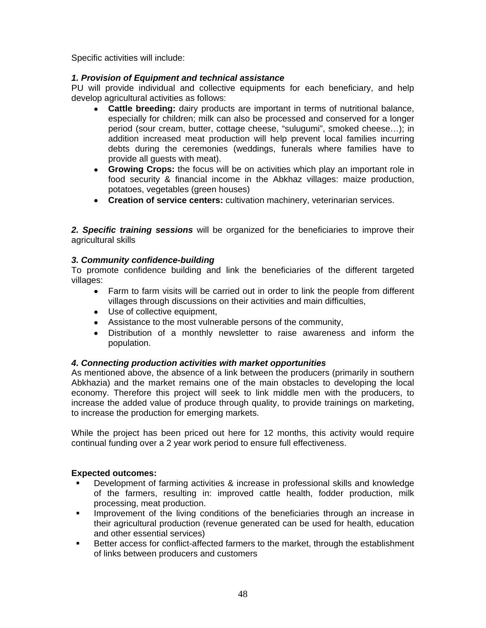Specific activities will include:

# *1. Provision of Equipment and technical assistance*

PU will provide individual and collective equipments for each beneficiary, and help develop agricultural activities as follows:

- • **Cattle breeding:** dairy products are important in terms of nutritional balance, especially for children; milk can also be processed and conserved for a longer period (sour cream, butter, cottage cheese, "sulugumi", smoked cheese…); in addition increased meat production will help prevent local families incurring debts during the ceremonies (weddings, funerals where families have to provide all guests with meat).
- • **Growing Crops:** the focus will be on activities which play an important role in food security & financial income in the Abkhaz villages: maize production, potatoes, vegetables (green houses)
- • **Creation of service centers:** cultivation machinery, veterinarian services.

*2. Specific training sessions* will be organized for the beneficiaries to improve their agricultural skills

# *3. Community confidence-building*

To promote confidence building and link the beneficiaries of the different targeted villages:

- Farm to farm visits will be carried out in order to link the people from different villages through discussions on their activities and main difficulties,
- Use of collective equipment,
- Assistance to the most vulnerable persons of the community,
- Distribution of a monthly newsletter to raise awareness and inform the population.

# *4. Connecting production activities with market opportunities*

As mentioned above, the absence of a link between the producers (primarily in southern Abkhazia) and the market remains one of the main obstacles to developing the local economy. Therefore this project will seek to link middle men with the producers, to increase the added value of produce through quality, to provide trainings on marketing, to increase the production for emerging markets.

While the project has been priced out here for 12 months, this activity would require continual funding over a 2 year work period to ensure full effectiveness.

# **Expected outcomes:**

- Development of farming activities & increase in professional skills and knowledge of the farmers, resulting in: improved cattle health, fodder production, milk processing, meat production.
- Improvement of the living conditions of the beneficiaries through an increase in their agricultural production (revenue generated can be used for health, education and other essential services)
- **Better access for conflict-affected farmers to the market, through the establishment** of links between producers and customers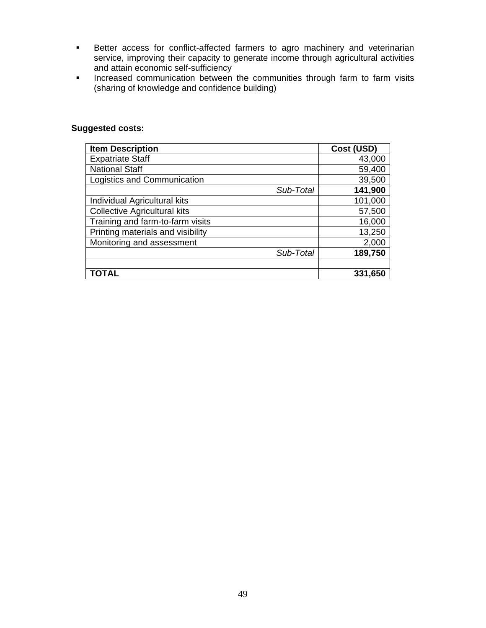- **Better access for conflict-affected farmers to agro machinery and veterinarian** service, improving their capacity to generate income through agricultural activities and attain economic self-sufficiency
- **Increased communication between the communities through farm to farm visits** (sharing of knowledge and confidence building)

| <b>Suggested costs:</b> |  |
|-------------------------|--|
|-------------------------|--|

| <b>Item Description</b>             | Cost (USD) |
|-------------------------------------|------------|
| <b>Expatriate Staff</b>             | 43,000     |
| <b>National Staff</b>               | 59,400     |
| Logistics and Communication         | 39,500     |
| Sub-Total                           | 141,900    |
| Individual Agricultural kits        | 101,000    |
| <b>Collective Agricultural kits</b> | 57,500     |
| Training and farm-to-farm visits    | 16,000     |
| Printing materials and visibility   | 13,250     |
| Monitoring and assessment           | 2,000      |
| Sub-Total                           | 189,750    |
|                                     |            |
| TOTAL                               | 331,650    |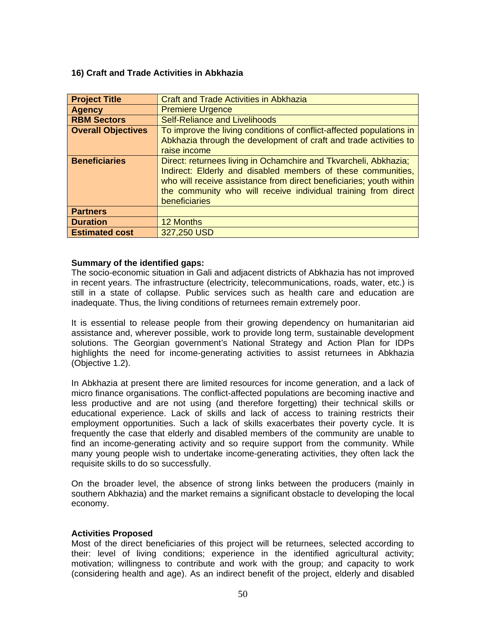# <span id="page-49-0"></span>**16) Craft and Trade Activities in Abkhazia**

| <b>Project Title</b>      | <b>Craft and Trade Activities in Abkhazia</b>                        |
|---------------------------|----------------------------------------------------------------------|
| <b>Agency</b>             | <b>Premiere Urgence</b>                                              |
| <b>RBM Sectors</b>        | <b>Self-Reliance and Livelihoods</b>                                 |
| <b>Overall Objectives</b> | To improve the living conditions of conflict-affected populations in |
|                           | Abkhazia through the development of craft and trade activities to    |
|                           | raise income                                                         |
| <b>Beneficiaries</b>      | Direct: returnees living in Ochamchire and Tkvarcheli, Abkhazia;     |
|                           | Indirect: Elderly and disabled members of these communities,         |
|                           | who will receive assistance from direct beneficiaries; youth within  |
|                           | the community who will receive individual training from direct       |
|                           | beneficiaries                                                        |
| <b>Partners</b>           |                                                                      |
| <b>Duration</b>           | 12 Months                                                            |
| <b>Estimated cost</b>     | 327,250 USD                                                          |

#### **Summary of the identified gaps:**

The socio-economic situation in Gali and adjacent districts of Abkhazia has not improved in recent years. The infrastructure (electricity, telecommunications, roads, water, etc.) is still in a state of collapse. Public services such as health care and education are inadequate. Thus, the living conditions of returnees remain extremely poor.

It is essential to release people from their growing dependency on humanitarian aid assistance and, wherever possible, work to provide long term, sustainable development solutions. The Georgian government's National Strategy and Action Plan for IDPs highlights the need for income-generating activities to assist returnees in Abkhazia (Objective 1.2).

In Abkhazia at present there are limited resources for income generation, and a lack of micro finance organisations. The conflict-affected populations are becoming inactive and less productive and are not using (and therefore forgetting) their technical skills or educational experience. Lack of skills and lack of access to training restricts their employment opportunities. Such a lack of skills exacerbates their poverty cycle. It is frequently the case that elderly and disabled members of the community are unable to find an income-generating activity and so require support from the community. While many young people wish to undertake income-generating activities, they often lack the requisite skills to do so successfully.

On the broader level, the absence of strong links between the producers (mainly in southern Abkhazia) and the market remains a significant obstacle to developing the local economy.

# **Activities Proposed**

Most of the direct beneficiaries of this project will be returnees, selected according to their: level of living conditions; experience in the identified agricultural activity; motivation; willingness to contribute and work with the group; and capacity to work (considering health and age). As an indirect benefit of the project, elderly and disabled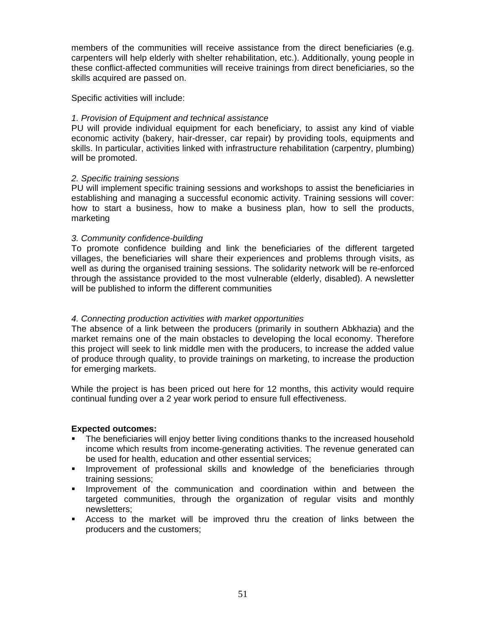members of the communities will receive assistance from the direct beneficiaries (e.g. carpenters will help elderly with shelter rehabilitation, etc.). Additionally, young people in these conflict-affected communities will receive trainings from direct beneficiaries, so the skills acquired are passed on.

Specific activities will include:

# *1. Provision of Equipment and technical assistance*

PU will provide individual equipment for each beneficiary, to assist any kind of viable economic activity (bakery, hair-dresser, car repair) by providing tools, equipments and skills. In particular, activities linked with infrastructure rehabilitation (carpentry, plumbing) will be promoted.

# *2. Specific training sessions*

PU will implement specific training sessions and workshops to assist the beneficiaries in establishing and managing a successful economic activity. Training sessions will cover: how to start a business, how to make a business plan, how to sell the products, marketing

# *3. Community confidence-building*

To promote confidence building and link the beneficiaries of the different targeted villages, the beneficiaries will share their experiences and problems through visits, as well as during the organised training sessions. The solidarity network will be re-enforced through the assistance provided to the most vulnerable (elderly, disabled). A newsletter will be published to inform the different communities

# *4. Connecting production activities with market opportunities*

The absence of a link between the producers (primarily in southern Abkhazia) and the market remains one of the main obstacles to developing the local economy. Therefore this project will seek to link middle men with the producers, to increase the added value of produce through quality, to provide trainings on marketing, to increase the production for emerging markets.

While the project is has been priced out here for 12 months, this activity would require continual funding over a 2 year work period to ensure full effectiveness.

# **Expected outcomes:**

- The beneficiaries will enjoy better living conditions thanks to the increased household income which results from income-generating activities. The revenue generated can be used for health, education and other essential services;
- **IMPROVEMENT OF PROTESS** inclusional skills and knowledge of the beneficiaries through training sessions;
- **IMPROVEMENT OF the communication and coordination within and between the** targeted communities, through the organization of regular visits and monthly newsletters;
- Access to the market will be improved thru the creation of links between the producers and the customers;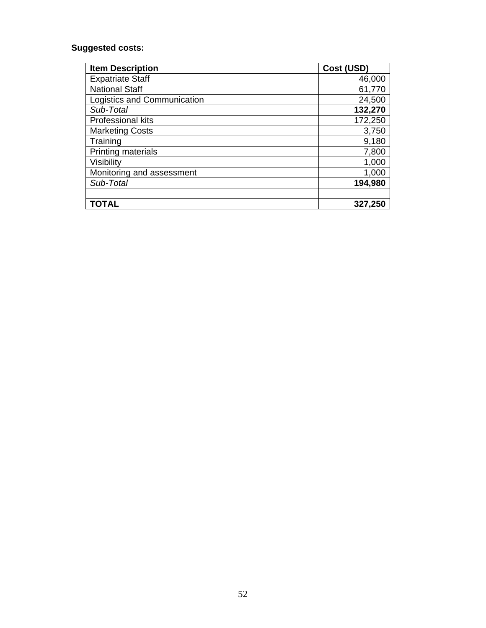# **Suggested costs:**

| <b>Item Description</b>     | Cost (USD) |
|-----------------------------|------------|
| <b>Expatriate Staff</b>     | 46,000     |
| <b>National Staff</b>       | 61,770     |
| Logistics and Communication | 24,500     |
| Sub-Total                   | 132,270    |
| <b>Professional kits</b>    | 172,250    |
| <b>Marketing Costs</b>      | 3,750      |
| Training                    | 9,180      |
| <b>Printing materials</b>   | 7,800      |
| Visibility                  | 1,000      |
| Monitoring and assessment   | 1,000      |
| Sub-Total                   | 194,980    |
|                             |            |
| TOTAL                       | 327,250    |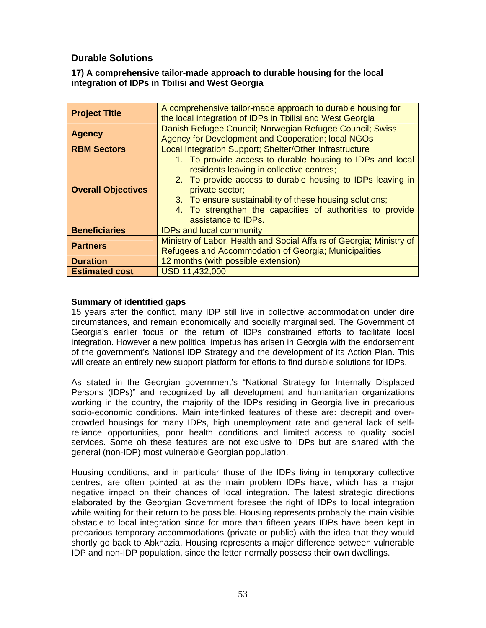# <span id="page-52-0"></span> **Durable Solutions**

# **17) A comprehensive tailor-made approach to durable housing for the local integration of IDPs in Tbilisi and West Georgia**

| <b>Project Title</b>      | A comprehensive tailor-made approach to durable housing for<br>the local integration of IDPs in Tbilisi and West Georgia                                                                                                                                                                                                              |  |  |
|---------------------------|---------------------------------------------------------------------------------------------------------------------------------------------------------------------------------------------------------------------------------------------------------------------------------------------------------------------------------------|--|--|
| <b>Agency</b>             | Danish Refugee Council; Norwegian Refugee Council; Swiss<br>Agency for Development and Cooperation; local NGOs                                                                                                                                                                                                                        |  |  |
| <b>RBM Sectors</b>        | Local Integration Support; Shelter/Other Infrastructure                                                                                                                                                                                                                                                                               |  |  |
| <b>Overall Objectives</b> | 1. To provide access to durable housing to IDPs and local<br>residents leaving in collective centres;<br>2. To provide access to durable housing to IDPs leaving in<br>private sector;<br>3. To ensure sustainability of these housing solutions;<br>4. To strengthen the capacities of authorities to provide<br>assistance to IDPs. |  |  |
| <b>Beneficiaries</b>      | <b>IDPs and local community</b>                                                                                                                                                                                                                                                                                                       |  |  |
| <b>Partners</b>           | Ministry of Labor, Health and Social Affairs of Georgia; Ministry of<br>Refugees and Accommodation of Georgia; Municipalities                                                                                                                                                                                                         |  |  |
| <b>Duration</b>           | 12 months (with possible extension)                                                                                                                                                                                                                                                                                                   |  |  |
| <b>Estimated cost</b>     | USD 11,432,000                                                                                                                                                                                                                                                                                                                        |  |  |

# **Summary of identified gaps**

15 years after the conflict, many IDP still live in collective accommodation under dire circumstances, and remain economically and socially marginalised. The Government of Georgia's earlier focus on the return of IDPs constrained efforts to facilitate local integration. However a new political impetus has arisen in Georgia with the endorsement of the government's National IDP Strategy and the development of its Action Plan. This will create an entirely new support platform for efforts to find durable solutions for IDPs.

As stated in the Georgian government's "National Strategy for Internally Displaced Persons (IDPs)" and recognized by all development and humanitarian organizations working in the country, the majority of the IDPs residing in Georgia live in precarious socio-economic conditions. Main interlinked features of these are: decrepit and overcrowded housings for many IDPs, high unemployment rate and general lack of selfreliance opportunities, poor health conditions and limited access to quality social services. Some oh these features are not exclusive to IDPs but are shared with the general (non-IDP) most vulnerable Georgian population.

Housing conditions, and in particular those of the IDPs living in temporary collective centres, are often pointed at as the main problem IDPs have, which has a major negative impact on their chances of local integration. The latest strategic directions elaborated by the Georgian Government foresee the right of IDPs to local integration while waiting for their return to be possible. Housing represents probably the main visible obstacle to local integration since for more than fifteen years IDPs have been kept in precarious temporary accommodations (private or public) with the idea that they would shortly go back to Abkhazia. Housing represents a major difference between vulnerable IDP and non-IDP population, since the letter normally possess their own dwellings.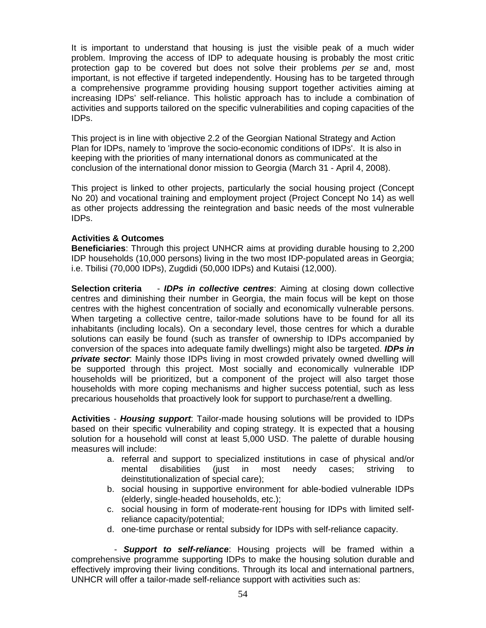It is important to understand that housing is just the visible peak of a much wider problem. Improving the access of IDP to adequate housing is probably the most critic protection gap to be covered but does not solve their problems *per se* and, most important, is not effective if targeted independently. Housing has to be targeted through a comprehensive programme providing housing support together activities aiming at increasing IDPs' self-reliance. This holistic approach has to include a combination of activities and supports tailored on the specific vulnerabilities and coping capacities of the IDPs.

This project is in line with objective 2.2 of the Georgian National Strategy and Action Plan for IDPs, namely to 'improve the socio-economic conditions of IDPs'. It is also in keeping with the priorities of many international donors as communicated at the conclusion of the international donor mission to Georgia (March 31 - April 4, 2008).

This project is linked to other projects, particularly the social housing project (Concept No 20) and vocational training and employment project (Project Concept No 14) as well as other projects addressing the reintegration and basic needs of the most vulnerable IDPs.

# **Activities & Outcomes**

**Beneficiaries**: Through this project UNHCR aims at providing durable housing to 2,200 IDP households (10,000 persons) living in the two most IDP-populated areas in Georgia; i.e. Tbilisi (70,000 IDPs), Zugdidi (50,000 IDPs) and Kutaisi (12,000).

**Selection criteria** - *IDPs in collective centres*: Aiming at closing down collective centres and diminishing their number in Georgia, the main focus will be kept on those centres with the highest concentration of socially and economically vulnerable persons. When targeting a collective centre, tailor-made solutions have to be found for all its inhabitants (including locals). On a secondary level, those centres for which a durable solutions can easily be found (such as transfer of ownership to IDPs accompanied by conversion of the spaces into adequate family dwellings) might also be targeted. *IDPs in private sector*: Mainly those IDPs living in most crowded privately owned dwelling will be supported through this project. Most socially and economically vulnerable IDP households will be prioritized, but a component of the project will also target those households with more coping mechanisms and higher success potential, such as less precarious households that proactively look for support to purchase/rent a dwelling.

**Activities** - *Housing support*: Tailor-made housing solutions will be provided to IDPs based on their specific vulnerability and coping strategy. It is expected that a housing solution for a household will const at least 5,000 USD. The palette of durable housing measures will include:

- a. referral and support to specialized institutions in case of physical and/or mental disabilities (just in most needy cases; striving to deinstitutionalization of special care);
- b. social housing in supportive environment for able-bodied vulnerable IDPs (elderly, single-headed households, etc.);
- c. social housing in form of moderate-rent housing for IDPs with limited selfreliance capacity/potential;
- d. one-time purchase or rental subsidy for IDPs with self-reliance capacity.

 - *Support to self-reliance*: Housing projects will be framed within a comprehensive programme supporting IDPs to make the housing solution durable and effectively improving their living conditions. Through its local and international partners, UNHCR will offer a tailor-made self-reliance support with activities such as: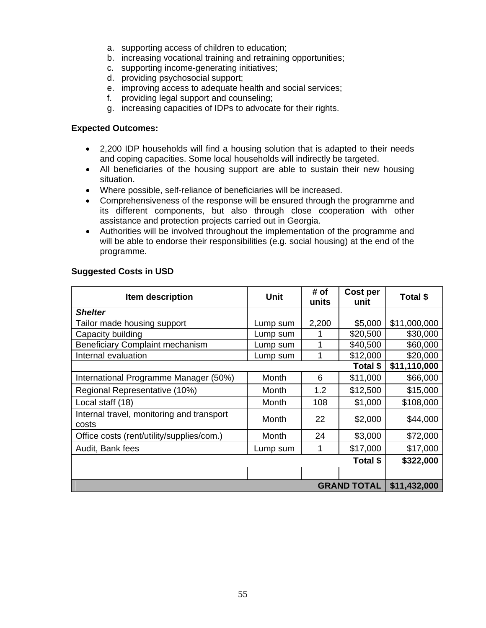- a. supporting access of children to education;
- b. increasing vocational training and retraining opportunities;
- c. supporting income-generating initiatives;
- d. providing psychosocial support;
- e. improving access to adequate health and social services;
- f. providing legal support and counseling;
- g. increasing capacities of IDPs to advocate for their rights.

#### **Expected Outcomes:**

- 2,200 IDP households will find a housing solution that is adapted to their needs and coping capacities. Some local households will indirectly be targeted.
- All beneficiaries of the housing support are able to sustain their new housing situation.
- Where possible, self-reliance of beneficiaries will be increased.
- Comprehensiveness of the response will be ensured through the programme and its different components, but also through close cooperation with other assistance and protection projects carried out in Georgia.
- Authorities will be involved throughout the implementation of the programme and will be able to endorse their responsibilities (e.g. social housing) at the end of the programme.

# **Suggested Costs in USD**

| Item description                                   | Unit     | # of<br>units | Cost per<br>unit | Total \$     |
|----------------------------------------------------|----------|---------------|------------------|--------------|
| <b>Shelter</b>                                     |          |               |                  |              |
| Tailor made housing support                        | Lump sum | 2,200         | \$5,000          | \$11,000,000 |
| Capacity building                                  | Lump sum |               | \$20,500         | \$30,000     |
| <b>Beneficiary Complaint mechanism</b>             | Lump sum |               | \$40,500         | \$60,000     |
| Internal evaluation                                | Lump sum |               | \$12,000         | \$20,000     |
|                                                    |          |               | Total \$         | \$11,110,000 |
| International Programme Manager (50%)              | Month    | 6             | \$11,000         | \$66,000     |
| Regional Representative (10%)                      | Month    | 1.2           | \$12,500         | \$15,000     |
| Local staff (18)                                   | Month    | 108           | \$1,000          | \$108,000    |
| Internal travel, monitoring and transport<br>costs | Month    | 22            | \$2,000          | \$44,000     |
| Office costs (rent/utility/supplies/com.)          | Month    | 24            | \$3,000          | \$72,000     |
| Audit, Bank fees                                   | Lump sum |               | \$17,000         | \$17,000     |
|                                                    |          |               | Total \$         | \$322,000    |
|                                                    |          |               |                  |              |
| <b>GRAND TOTAL</b>                                 |          |               | \$11,432,000     |              |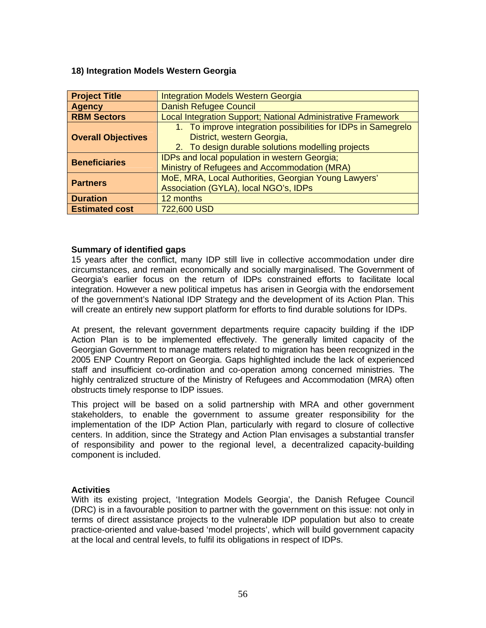#### <span id="page-55-0"></span>**18) Integration Models Western Georgia**

| <b>Project Title</b>      | <b>Integration Models Western Georgia</b>                     |
|---------------------------|---------------------------------------------------------------|
| <b>Agency</b>             | <b>Danish Refugee Council</b>                                 |
| <b>RBM Sectors</b>        | Local Integration Support; National Administrative Framework  |
|                           | 1. To improve integration possibilities for IDPs in Samegrelo |
| <b>Overall Objectives</b> | District, western Georgia,                                    |
|                           | 2. To design durable solutions modelling projects             |
|                           | IDPs and local population in western Georgia;                 |
| <b>Beneficiaries</b>      | Ministry of Refugees and Accommodation (MRA)                  |
|                           | MoE, MRA, Local Authorities, Georgian Young Lawyers'          |
| <b>Partners</b>           | Association (GYLA), local NGO's, IDPs                         |
| <b>Duration</b>           | 12 months                                                     |
| <b>Estimated cost</b>     | 722,600 USD                                                   |

#### **Summary of identified gaps**

15 years after the conflict, many IDP still live in collective accommodation under dire circumstances, and remain economically and socially marginalised. The Government of Georgia's earlier focus on the return of IDPs constrained efforts to facilitate local integration. However a new political impetus has arisen in Georgia with the endorsement of the government's National IDP Strategy and the development of its Action Plan. This will create an entirely new support platform for efforts to find durable solutions for IDPs.

At present, the relevant government departments require capacity building if the IDP Action Plan is to be implemented effectively. The generally limited capacity of the Georgian Government to manage matters related to migration has been recognized in the 2005 ENP Country Report on Georgia. Gaps highlighted include the lack of experienced staff and insufficient co-ordination and co-operation among concerned ministries. The highly centralized structure of the Ministry of Refugees and Accommodation (MRA) often obstructs timely response to IDP issues.

This project will be based on a solid partnership with MRA and other government stakeholders, to enable the government to assume greater responsibility for the implementation of the IDP Action Plan, particularly with regard to closure of collective centers. In addition, since the Strategy and Action Plan envisages a substantial transfer of responsibility and power to the regional level, a decentralized capacity-building component is included.

#### **Activities**

With its existing project, 'Integration Models Georgia', the Danish Refugee Council (DRC) is in a favourable position to partner with the government on this issue: not only in terms of direct assistance projects to the vulnerable IDP population but also to create practice-oriented and value-based 'model projects', which will build government capacity at the local and central levels, to fulfil its obligations in respect of IDPs.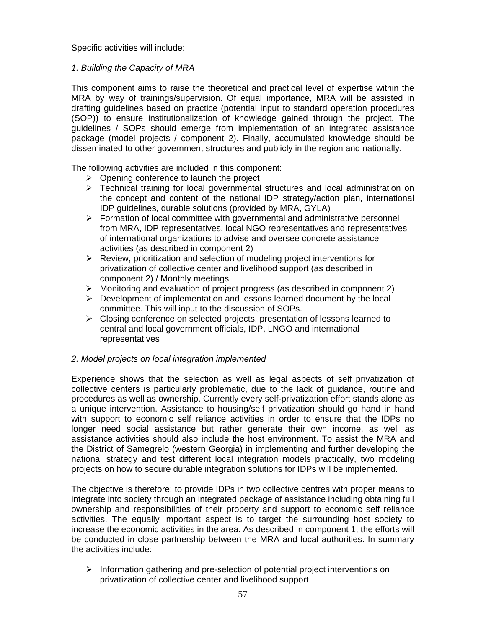Specific activities will include:

# *1. Building the Capacity of MRA*

This component aims to raise the theoretical and practical level of expertise within the MRA by way of trainings/supervision. Of equal importance, MRA will be assisted in drafting guidelines based on practice (potential input to standard operation procedures (SOP)) to ensure institutionalization of knowledge gained through the project. The guidelines / SOPs should emerge from implementation of an integrated assistance package (model projects / component 2). Finally, accumulated knowledge should be disseminated to other government structures and publicly in the region and nationally.

The following activities are included in this component:

- $\triangleright$  Opening conference to launch the project
- $\triangleright$  Technical training for local governmental structures and local administration on the concept and content of the national IDP strategy/action plan, international IDP guidelines, durable solutions (provided by MRA, GYLA)
- ¾ Formation of local committee with governmental and administrative personnel from MRA, IDP representatives, local NGO representatives and representatives of international organizations to advise and oversee concrete assistance activities (as described in component 2)
- ¾ Review, prioritization and selection of modeling project interventions for privatization of collective center and livelihood support (as described in component 2) / Monthly meetings
- $\triangleright$  Monitoring and evaluation of project progress (as described in component 2)
- $\triangleright$  Development of implementation and lessons learned document by the local committee. This will input to the discussion of SOPs.
- $\triangleright$  Closing conference on selected projects, presentation of lessons learned to central and local government officials, IDP, LNGO and international representatives

# *2. Model projects on local integration implemented*

Experience shows that the selection as well as legal aspects of self privatization of collective centers is particularly problematic, due to the lack of guidance, routine and procedures as well as ownership. Currently every self-privatization effort stands alone as a unique intervention. Assistance to housing/self privatization should go hand in hand with support to economic self reliance activities in order to ensure that the IDPs no longer need social assistance but rather generate their own income, as well as assistance activities should also include the host environment. To assist the MRA and the District of Samegrelo (western Georgia) in implementing and further developing the national strategy and test different local integration models practically, two modeling projects on how to secure durable integration solutions for IDPs will be implemented.

The objective is therefore; to provide IDPs in two collective centres with proper means to integrate into society through an integrated package of assistance including obtaining full ownership and responsibilities of their property and support to economic self reliance activities. The equally important aspect is to target the surrounding host society to increase the economic activities in the area. As described in component 1, the efforts will be conducted in close partnership between the MRA and local authorities. In summary the activities include:

¾ Information gathering and pre-selection of potential project interventions on privatization of collective center and livelihood support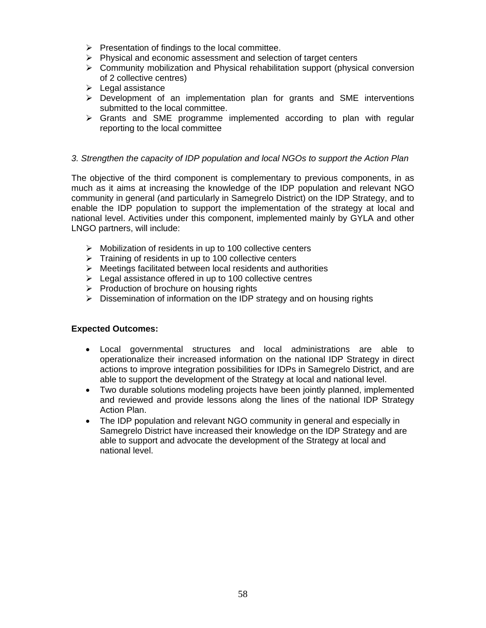- $\triangleright$  Presentation of findings to the local committee.
- $\triangleright$  Physical and economic assessment and selection of target centers
- $\triangleright$  Community mobilization and Physical rehabilitation support (physical conversion of 2 collective centres)
- $\blacktriangleright$  Legal assistance
- $\triangleright$  Development of an implementation plan for grants and SME interventions submitted to the local committee.
- $\triangleright$  Grants and SME programme implemented according to plan with regular reporting to the local committee

#### *3. Strengthen the capacity of IDP population and local NGOs to support the Action Plan*

The objective of the third component is complementary to previous components, in as much as it aims at increasing the knowledge of the IDP population and relevant NGO community in general (and particularly in Samegrelo District) on the IDP Strategy, and to enable the IDP population to support the implementation of the strategy at local and national level. Activities under this component, implemented mainly by GYLA and other LNGO partners, will include:

- $\triangleright$  Mobilization of residents in up to 100 collective centers
- $\triangleright$  Training of residents in up to 100 collective centers
- $\triangleright$  Meetings facilitated between local residents and authorities
- $\triangleright$  Legal assistance offered in up to 100 collective centres
- $\triangleright$  Production of brochure on housing rights
- $\triangleright$  Dissemination of information on the IDP strategy and on housing rights

#### **Expected Outcomes:**

- Local governmental structures and local administrations are able to operationalize their increased information on the national IDP Strategy in direct actions to improve integration possibilities for IDPs in Samegrelo District, and are able to support the development of the Strategy at local and national level.
- Two durable solutions modeling projects have been jointly planned, implemented and reviewed and provide lessons along the lines of the national IDP Strategy Action Plan.
- The IDP population and relevant NGO community in general and especially in Samegrelo District have increased their knowledge on the IDP Strategy and are able to support and advocate the development of the Strategy at local and national level.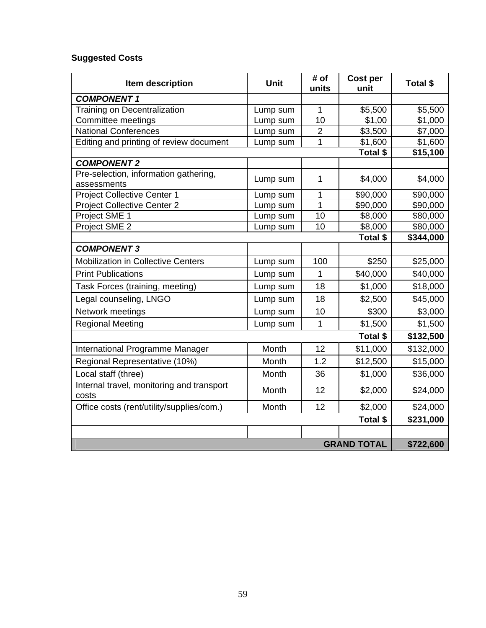# **Suggested Costs**

| Item description                                     | Unit           | # of<br>units           | Cost per<br>unit | Total \$  |
|------------------------------------------------------|----------------|-------------------------|------------------|-----------|
| <b>COMPONENT1</b>                                    |                |                         |                  |           |
| <b>Training on Decentralization</b>                  | Lump sum       | 1                       | \$5,500          | \$5,500   |
| Committee meetings                                   | 10<br>Lump sum |                         | \$1,00           | \$1,000   |
| <b>National Conferences</b>                          | Lump sum       | $\overline{2}$          | \$3,500          | \$7,000   |
| Editing and printing of review document              | Lump sum       | $\mathbf 1$             | \$1,600          | \$1,600   |
|                                                      |                |                         | Total \$         | \$15,100  |
| <b>COMPONENT 2</b>                                   |                |                         |                  |           |
| Pre-selection, information gathering,<br>assessments | Lump sum       | 1                       | \$4,000          | \$4,000   |
| <b>Project Collective Center 1</b>                   | Lump sum       | 1                       | \$90,000         | \$90,000  |
| <b>Project Collective Center 2</b>                   | Lump sum       | 1                       | \$90,000         | \$90,000  |
| Project SME 1                                        | Lump sum       | 10                      | \$8,000          | \$80,000  |
| Project SME 2                                        | Lump sum       | 10                      | \$8,000          | \$80,000  |
|                                                      |                |                         | Total \$         | \$344,000 |
| <b>COMPONENT 3</b>                                   |                |                         |                  |           |
| <b>Mobilization in Collective Centers</b>            | Lump sum       | 100                     | \$250            | \$25,000  |
| <b>Print Publications</b>                            | Lump sum       | 1                       | \$40,000         | \$40,000  |
| Task Forces (training, meeting)                      | Lump sum       | 18                      | \$1,000          | \$18,000  |
| Legal counseling, LNGO                               | 18<br>Lump sum |                         | \$2,500          | \$45,000  |
| Network meetings                                     | Lump sum       | 10                      | \$300            | \$3,000   |
| <b>Regional Meeting</b>                              | Lump sum       | $\mathbf{1}$<br>\$1,500 |                  | \$1,500   |
|                                                      |                |                         | Total \$         | \$132,500 |
| International Programme Manager                      | Month          | 12                      | \$11,000         | \$132,000 |
| Regional Representative (10%)                        | Month          | 1.2                     | \$12,500         | \$15,000  |
| Local staff (three)                                  | Month          | 36                      | \$1,000          | \$36,000  |
| Internal travel, monitoring and transport<br>costs   | Month          | 12                      | \$2,000          | \$24,000  |
| Office costs (rent/utility/supplies/com.)            | Month          | 12<br>\$2,000           |                  | \$24,000  |
|                                                      |                |                         | Total \$         | \$231,000 |
|                                                      |                |                         |                  |           |
| <b>GRAND TOTAL</b>                                   |                |                         |                  |           |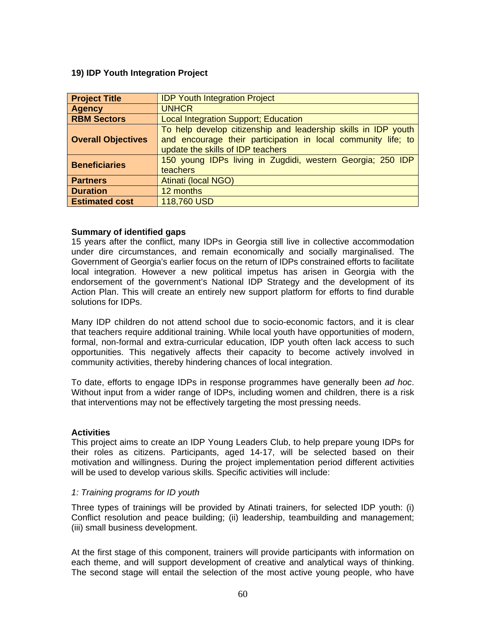# <span id="page-59-0"></span>**19) IDP Youth Integration Project**

| <b>Project Title</b>      | <b>IDP Youth Integration Project</b>                                                                                                                                 |
|---------------------------|----------------------------------------------------------------------------------------------------------------------------------------------------------------------|
| <b>Agency</b>             | <b>UNHCR</b>                                                                                                                                                         |
| <b>RBM Sectors</b>        | <b>Local Integration Support; Education</b>                                                                                                                          |
| <b>Overall Objectives</b> | To help develop citizenship and leadership skills in IDP youth<br>and encourage their participation in local community life; to<br>update the skills of IDP teachers |
| <b>Beneficiaries</b>      | 150 young IDPs living in Zugdidi, western Georgia; 250 IDP<br>teachers                                                                                               |
| <b>Partners</b>           | <b>Atinati (local NGO)</b>                                                                                                                                           |
| <b>Duration</b>           | 12 months                                                                                                                                                            |
| <b>Estimated cost</b>     | 118,760 USD                                                                                                                                                          |

# **Summary of identified gaps**

15 years after the conflict, many IDPs in Georgia still live in collective accommodation under dire circumstances, and remain economically and socially marginalised. The Government of Georgia's earlier focus on the return of IDPs constrained efforts to facilitate local integration. However a new political impetus has arisen in Georgia with the endorsement of the government's National IDP Strategy and the development of its Action Plan. This will create an entirely new support platform for efforts to find durable solutions for IDPs.

Many IDP children do not attend school due to socio-economic factors, and it is clear that teachers require additional training. While local youth have opportunities of modern, formal, non-formal and extra-curricular education, IDP youth often lack access to such opportunities. This negatively affects their capacity to become actively involved in community activities, thereby hindering chances of local integration.

To date, efforts to engage IDPs in response programmes have generally been *ad hoc*. Without input from a wider range of IDPs, including women and children, there is a risk that interventions may not be effectively targeting the most pressing needs.

#### **Activities**

This project aims to create an IDP Young Leaders Club, to help prepare young IDPs for their roles as citizens. Participants, aged 14-17, will be selected based on their motivation and willingness. During the project implementation period different activities will be used to develop various skills. Specific activities will include:

#### *1: Training programs for ID youth*

Three types of trainings will be provided by Atinati trainers, for selected IDP youth: (i) Conflict resolution and peace building; (ii) leadership, teambuilding and management; (iii) small business development.

At the first stage of this component, trainers will provide participants with information on each theme, and will support development of creative and analytical ways of thinking. The second stage will entail the selection of the most active young people, who have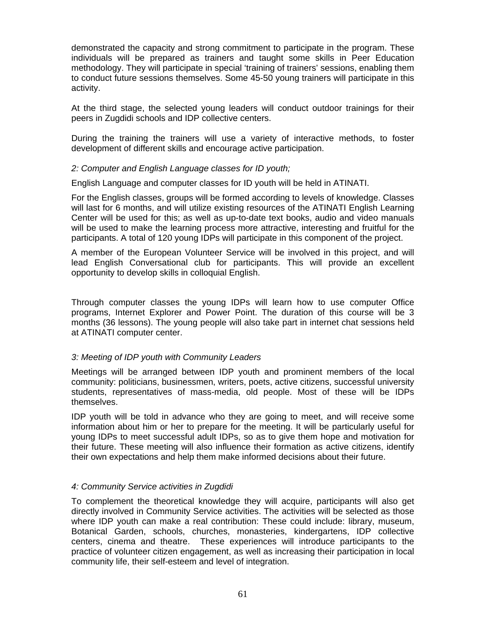demonstrated the capacity and strong commitment to participate in the program. These individuals will be prepared as trainers and taught some skills in Peer Education methodology. They will participate in special 'training of trainers' sessions, enabling them to conduct future sessions themselves. Some 45-50 young trainers will participate in this activity.

At the third stage, the selected young leaders will conduct outdoor trainings for their peers in Zugdidi schools and IDP collective centers.

During the training the trainers will use a variety of interactive methods, to foster development of different skills and encourage active participation.

# *2: Computer and English Language classes for ID youth;*

English Language and computer classes for ID youth will be held in ATINATI.

For the English classes, groups will be formed according to levels of knowledge. Classes will last for 6 months, and will utilize existing resources of the ATINATI English Learning Center will be used for this; as well as up-to-date text books, audio and video manuals will be used to make the learning process more attractive, interesting and fruitful for the participants. A total of 120 young IDPs will participate in this component of the project.

A member of the European Volunteer Service will be involved in this project, and will lead English Conversational club for participants. This will provide an excellent opportunity to develop skills in colloquial English.

Through computer classes the young IDPs will learn how to use computer Office programs, Internet Explorer and Power Point. The duration of this course will be 3 months (36 lessons). The young people will also take part in internet chat sessions held at ATINATI computer center.

# *3: Meeting of IDP youth with Community Leaders*

Meetings will be arranged between IDP youth and prominent members of the local community: politicians, businessmen, writers, poets, active citizens, successful university students, representatives of mass-media, old people. Most of these will be IDPs themselves.

IDP youth will be told in advance who they are going to meet, and will receive some information about him or her to prepare for the meeting. It will be particularly useful for young IDPs to meet successful adult IDPs, so as to give them hope and motivation for their future. These meeting will also influence their formation as active citizens, identify their own expectations and help them make informed decisions about their future.

# *4: Community Service activities in Zugdidi*

To complement the theoretical knowledge they will acquire, participants will also get directly involved in Community Service activities. The activities will be selected as those where IDP youth can make a real contribution: These could include: library, museum, Botanical Garden, schools, churches, monasteries, kindergartens, IDP collective centers, cinema and theatre. These experiences will introduce participants to the practice of volunteer citizen engagement, as well as increasing their participation in local community life, their self-esteem and level of integration.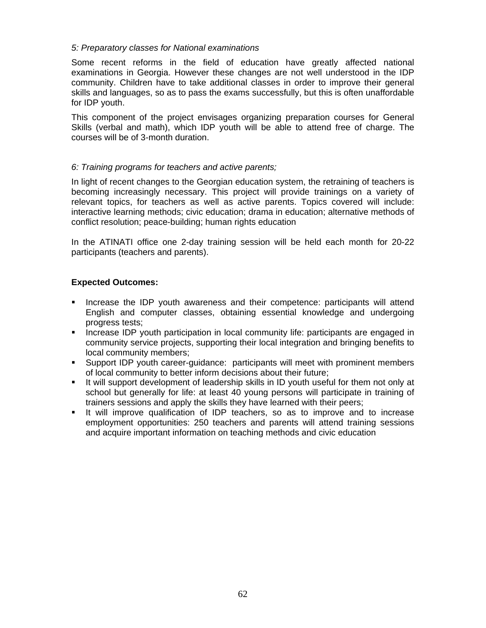# *5: Preparatory classes for National examinations*

Some recent reforms in the field of education have greatly affected national examinations in Georgia. However these changes are not well understood in the IDP community. Children have to take additional classes in order to improve their general skills and languages, so as to pass the exams successfully, but this is often unaffordable for IDP youth.

This component of the project envisages organizing preparation courses for General Skills (verbal and math), which IDP youth will be able to attend free of charge. The courses will be of 3-month duration.

# *6: Training programs for teachers and active parents;*

In light of recent changes to the Georgian education system, the retraining of teachers is becoming increasingly necessary. This project will provide trainings on a variety of relevant topics, for teachers as well as active parents. Topics covered will include: interactive learning methods; civic education; drama in education; alternative methods of conflict resolution; peace-building; human rights education

In the ATINATI office one 2-day training session will be held each month for 20-22 participants (teachers and parents).

# **Expected Outcomes:**

- **Increase the IDP youth awareness and their competence: participants will attend** English and computer classes, obtaining essential knowledge and undergoing progress tests;
- **Increase IDP youth participation in local community life: participants are engaged in** community service projects, supporting their local integration and bringing benefits to local community members;
- Support IDP youth career-guidance: participants will meet with prominent members of local community to better inform decisions about their future;
- It will support development of leadership skills in ID youth useful for them not only at school but generally for life: at least 40 young persons will participate in training of trainers sessions and apply the skills they have learned with their peers;
- It will improve qualification of IDP teachers, so as to improve and to increase employment opportunities: 250 teachers and parents will attend training sessions and acquire important information on teaching methods and civic education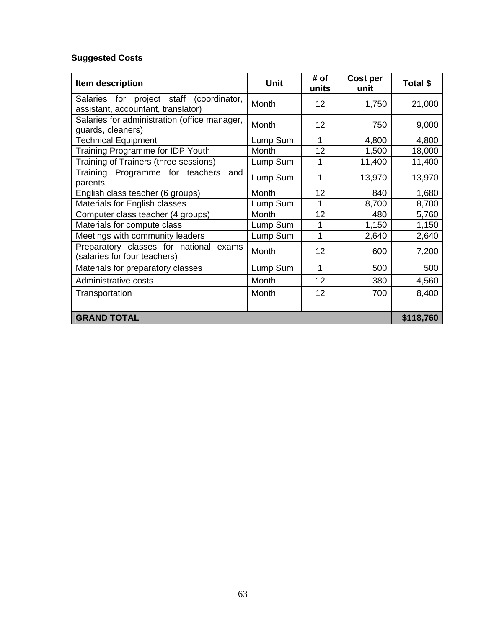# **Suggested Costs**

| Item description                                                               | <b>Unit</b>  | # of<br>units | <b>Cost per</b><br>unit | Total \$  |
|--------------------------------------------------------------------------------|--------------|---------------|-------------------------|-----------|
| Salaries for project staff (coordinator,<br>assistant, accountant, translator) | Month        | 12            | 1,750                   | 21,000    |
| Salaries for administration (office manager,<br>guards, cleaners)              | Month        | 12            | 750                     | 9,000     |
| <b>Technical Equipment</b>                                                     | Lump Sum     | 1             | 4,800                   | 4,800     |
| Training Programme for IDP Youth                                               | Month        | 12            | 1,500                   | 18,000    |
| Training of Trainers (three sessions)                                          | Lump Sum     | 1             | 11,400                  | 11,400    |
| Training Programme for teachers<br>and<br>parents                              | Lump Sum     |               | 13,970                  | 13,970    |
| English class teacher (6 groups)                                               | <b>Month</b> | 12            | 840                     | 1,680     |
| Materials for English classes                                                  | Lump Sum     |               | 8,700                   | 8,700     |
| Computer class teacher (4 groups)                                              | Month        | 12            | 480                     | 5,760     |
| Materials for compute class                                                    | Lump Sum     |               | 1,150                   | 1,150     |
| Meetings with community leaders                                                | Lump Sum     | 1             | 2,640                   | 2,640     |
| Preparatory classes for national exams<br>(salaries for four teachers)         | Month        | 12            | 600                     | 7,200     |
| Materials for preparatory classes                                              | Lump Sum     | 1             | 500                     | 500       |
| Administrative costs                                                           | Month        | 12            | 380                     | 4,560     |
| Transportation                                                                 | Month        | 12            | 700                     | 8,400     |
|                                                                                |              |               |                         |           |
| <b>GRAND TOTAL</b>                                                             |              |               |                         | \$118,760 |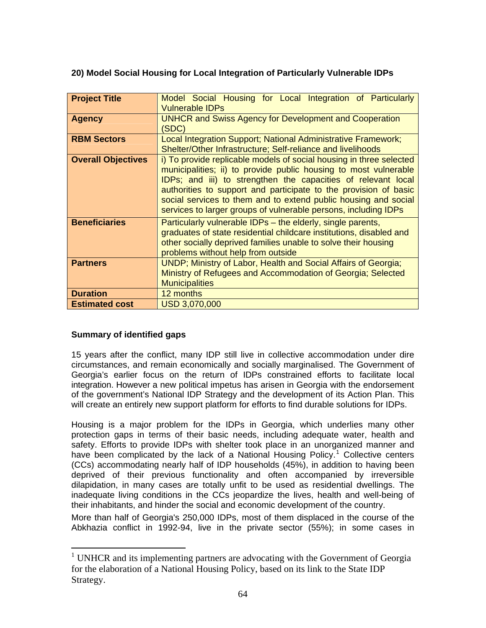# <span id="page-63-0"></span>**20) Model Social Housing for Local Integration of Particularly Vulnerable IDPs**

| <b>Project Title</b>      | Model Social Housing for Local Integration of Particularly<br><b>Vulnerable IDPs</b>                                                                                                                                                                                                                                                                                                                               |  |  |  |  |
|---------------------------|--------------------------------------------------------------------------------------------------------------------------------------------------------------------------------------------------------------------------------------------------------------------------------------------------------------------------------------------------------------------------------------------------------------------|--|--|--|--|
| <b>Agency</b>             | <b>UNHCR and Swiss Agency for Development and Cooperation</b><br>(SDC)                                                                                                                                                                                                                                                                                                                                             |  |  |  |  |
| <b>RBM Sectors</b>        | Local Integration Support; National Administrative Framework;<br>Shelter/Other Infrastructure; Self-reliance and livelihoods                                                                                                                                                                                                                                                                                       |  |  |  |  |
| <b>Overall Objectives</b> | i) To provide replicable models of social housing in three selected<br>municipalities; ii) to provide public housing to most vulnerable<br>IDPs; and iii) to strengthen the capacities of relevant local<br>authorities to support and participate to the provision of basic<br>social services to them and to extend public housing and social<br>services to larger groups of vulnerable persons, including IDPs |  |  |  |  |
| <b>Beneficiaries</b>      | Particularly vulnerable IDPs – the elderly, single parents,<br>graduates of state residential childcare institutions, disabled and<br>other socially deprived families unable to solve their housing<br>problems without help from outside                                                                                                                                                                         |  |  |  |  |
| <b>Partners</b>           | UNDP; Ministry of Labor, Health and Social Affairs of Georgia;<br>Ministry of Refugees and Accommodation of Georgia; Selected<br><b>Municipalities</b>                                                                                                                                                                                                                                                             |  |  |  |  |
| <b>Duration</b>           | 12 months                                                                                                                                                                                                                                                                                                                                                                                                          |  |  |  |  |
| <b>Estimated cost</b>     | USD 3,070,000                                                                                                                                                                                                                                                                                                                                                                                                      |  |  |  |  |

# **Summary of identified gaps**

 $\overline{a}$ 

15 years after the conflict, many IDP still live in collective accommodation under dire circumstances, and remain economically and socially marginalised. The Government of Georgia's earlier focus on the return of IDPs constrained efforts to facilitate local integration. However a new political impetus has arisen in Georgia with the endorsement of the government's National IDP Strategy and the development of its Action Plan. This will create an entirely new support platform for efforts to find durable solutions for IDPs.

Housing is a major problem for the IDPs in Georgia, which underlies many other protection gaps in terms of their basic needs, including adequate water, health and safety. Efforts to provide IDPs with shelter took place in an unorganized manner and have been complicated by the lack of a National Housing Policy.<sup>[1](#page-63-1)</sup> Collective centers (CCs) accommodating nearly half of IDP households (45%), in addition to having been deprived of their previous functionality and often accompanied by irreversible dilapidation, in many cases are totally unfit to be used as residential dwellings. The inadequate living conditions in the CCs jeopardize the lives, health and well-being of their inhabitants, and hinder the social and economic development of the country.

More than half of Georgia's 250,000 IDPs, most of them displaced in the course of the Abkhazia conflict in 1992-94, live in the private sector (55%); in some cases in

<span id="page-63-1"></span><sup>&</sup>lt;sup>1</sup> UNHCR and its implementing partners are advocating with the Government of Georgia for the elaboration of a National Housing Policy, based on its link to the State IDP Strategy.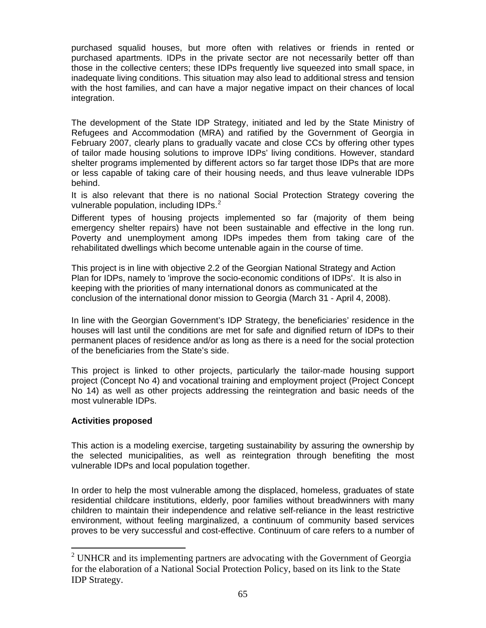purchased squalid houses, but more often with relatives or friends in rented or purchased apartments. IDPs in the private sector are not necessarily better off than those in the collective centers; these IDPs frequently live squeezed into small space, in inadequate living conditions. This situation may also lead to additional stress and tension with the host families, and can have a major negative impact on their chances of local integration.

The development of the State IDP Strategy, initiated and led by the State Ministry of Refugees and Accommodation (MRA) and ratified by the Government of Georgia in February 2007, clearly plans to gradually vacate and close CCs by offering other types of tailor made housing solutions to improve IDPs' living conditions. However, standard shelter programs implemented by different actors so far target those IDPs that are more or less capable of taking care of their housing needs, and thus leave vulnerable IDPs behind.

It is also relevant that there is no national Social Protection Strategy covering the vulnerable population, including IDPs.<sup>[2](#page-64-0)</sup>

Different types of housing projects implemented so far (majority of them being emergency shelter repairs) have not been sustainable and effective in the long run. Poverty and unemployment among IDPs impedes them from taking care of the rehabilitated dwellings which become untenable again in the course of time.

This project is in line with objective 2.2 of the Georgian National Strategy and Action Plan for IDPs, namely to 'improve the socio-economic conditions of IDPs'. It is also in keeping with the priorities of many international donors as communicated at the conclusion of the international donor mission to Georgia (March 31 - April 4, 2008).

In line with the Georgian Government's IDP Strategy, the beneficiaries' residence in the houses will last until the conditions are met for safe and dignified return of IDPs to their permanent places of residence and/or as long as there is a need for the social protection of the beneficiaries from the State's side.

This project is linked to other projects, particularly the tailor-made housing support project (Concept No 4) and vocational training and employment project (Project Concept No 14) as well as other projects addressing the reintegration and basic needs of the most vulnerable IDPs.

# **Activities proposed**

 $\overline{a}$ 

This action is a modeling exercise, targeting sustainability by assuring the ownership by the selected municipalities, as well as reintegration through benefiting the most vulnerable IDPs and local population together.

In order to help the most vulnerable among the displaced, homeless, graduates of state residential childcare institutions, elderly, poor families without breadwinners with many children to maintain their independence and relative self-reliance in the least restrictive environment, without feeling marginalized, a continuum of community based services proves to be very successful and cost-effective. Continuum of care refers to a number of

<span id="page-64-0"></span> $2^2$  UNHCR and its implementing partners are advocating with the Government of Georgia for the elaboration of a National Social Protection Policy, based on its link to the State IDP Strategy.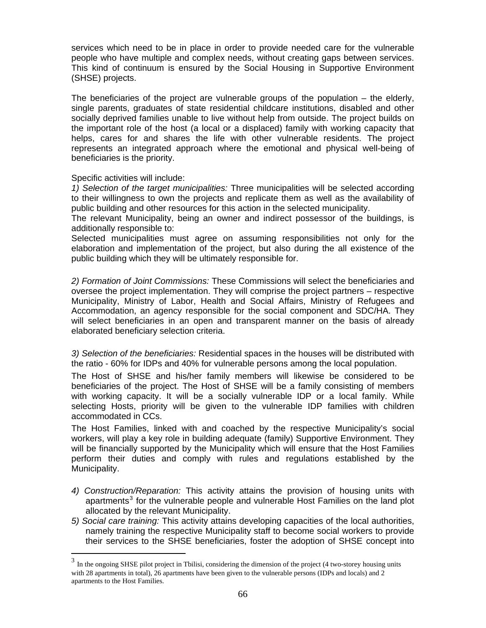services which need to be in place in order to provide needed care for the vulnerable people who have multiple and complex needs, without creating gaps between services. This kind of continuum is ensured by the Social Housing in Supportive Environment (SHSE) projects.

The beneficiaries of the project are vulnerable groups of the population – the elderly, single parents, graduates of state residential childcare institutions, disabled and other socially deprived families unable to live without help from outside. The project builds on the important role of the host (a local or a displaced) family with working capacity that helps, cares for and shares the life with other vulnerable residents. The project represents an integrated approach where the emotional and physical well-being of beneficiaries is the priority.

Specific activities will include:

 $\overline{a}$ 

*1) Selection of the target municipalities:* Three municipalities will be selected according to their willingness to own the projects and replicate them as well as the availability of public building and other resources for this action in the selected municipality.

The relevant Municipality, being an owner and indirect possessor of the buildings, is additionally responsible to:

Selected municipalities must agree on assuming responsibilities not only for the elaboration and implementation of the project, but also during the all existence of the public building which they will be ultimately responsible for.

*2) Formation of Joint Commissions:* These Commissions will select the beneficiaries and oversee the project implementation. They will comprise the project partners – respective Municipality, Ministry of Labor, Health and Social Affairs, Ministry of Refugees and Accommodation, an agency responsible for the social component and SDC/HA. They will select beneficiaries in an open and transparent manner on the basis of already elaborated beneficiary selection criteria.

*3) Selection of the beneficiaries:* Residential spaces in the houses will be distributed with the ratio - 60% for IDPs and 40% for vulnerable persons among the local population.

The Host of SHSE and his/her family members will likewise be considered to be beneficiaries of the project. The Host of SHSE will be a family consisting of members with working capacity. It will be a socially vulnerable IDP or a local family. While selecting Hosts, priority will be given to the vulnerable IDP families with children accommodated in CCs.

The Host Families, linked with and coached by the respective Municipality's social workers, will play a key role in building adequate (family) Supportive Environment. They will be financially supported by the Municipality which will ensure that the Host Families perform their duties and comply with rules and regulations established by the Municipality.

- *4) Construction/Reparation:* This activity attains the provision of housing units with apartments $3$  for the vulnerable people and vulnerable Host Families on the land plot allocated by the relevant Municipality.
- *5) Social care training:* This activity attains developing capacities of the local authorities, namely training the respective Municipality staff to become social workers to provide their services to the SHSE beneficiaries, foster the adoption of SHSE concept into

<span id="page-65-0"></span><sup>&</sup>lt;sup>3</sup> In the ongoing SHSE pilot project in Tbilisi, considering the dimension of the project (4 two-storey housing units with 28 apartments in total), 26 apartments have been given to the vulnerable persons (IDPs and locals) and 2 apartments to the Host Families.